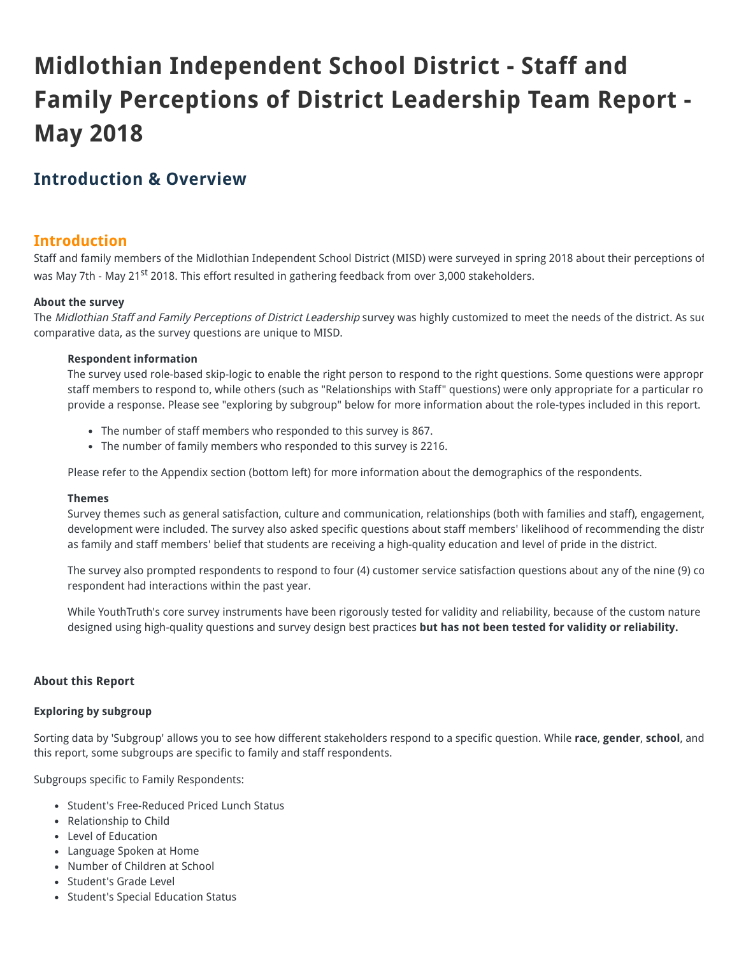# **Midlothian Independent School District - Staff and Family Perceptions of District Leadership Team Report - May 2018**

### **Introduction & Overview**

#### **Introduction**

Staff and family members of the Midlothian Independent School District (MISD) were surveyed in spring 2018 about their perceptions of was May 7th - May 21<sup>st</sup> 2018. This effort resulted in gathering feedback from over 3,000 stakeholders.

#### **About the survey**

The Midlothian Staff and Family Perceptions of District Leadership survey was highly customized to meet the needs of the district. As sure comparative data, as the survey questions are unique to MISD.

#### **Respondent information**

The survey used role-based skip-logic to enable the right person to respond to the right questions. Some questions were appropr staff members to respond to, while others (such as "Relationships with Staff" questions) were only appropriate for a particular ro provide a response. Please see "exploring by subgroup" below for more information about the role-types included in this report.

- The number of staff members who responded to this survey is 867.
- The number of family members who responded to this survey is 2216.

Please refer to the Appendix section (bottom left) for more information about the demographics of the respondents.

#### **Themes**

Survey themes such as general satisfaction, culture and communication, relationships (both with families and staff), engagement, development were included. The survey also asked specific questions about staff members' likelihood of recommending the distr as family and staff members' belief that students are receiving a high-quality education and level of pride in the district.

The survey also prompted respondents to respond to four (4) customer service satisfaction questions about any of the nine (9) co respondent had interactions within the past year.

While YouthTruth's core survey instruments have been rigorously tested for validity and reliability, because of the custom nature designed using high-quality questions and survey design best practices **but has not been tested for validity or reliability.**

#### **About this Report**

#### **Exploring by subgroup**

Sorting data by 'Subgroup' allows you to see how different stakeholders respond to a specific question. While **race**, **gender**, **school**, and this report, some subgroups are specific to family and staff respondents.

Subgroups specific to Family Respondents:

- Student's Free-Reduced Priced Lunch Status
- Relationship to Child
- Level of Education
- Language Spoken at Home
- Number of Children at School
- Student's Grade Level
- Student's Special Education Status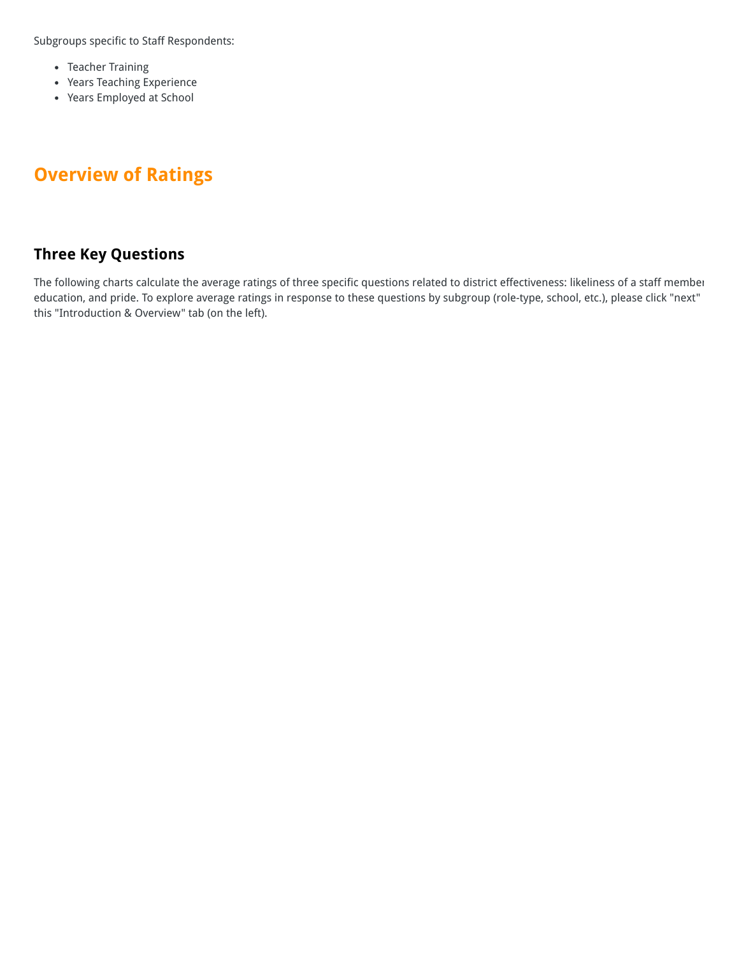Subgroups specific to Staff Respondents:

- Teacher Training
- Years Teaching Experience
- Years Employed at School

## **Overview of Ratings**

### **Three Key Questions**

The following charts calculate the average ratings of three specific questions related to district effectiveness: likeliness of a staff member education, and pride. To explore average ratings in response to these questions by subgroup (role-type, school, etc.), please click "next" this "Introduction & Overview" tab (on the left).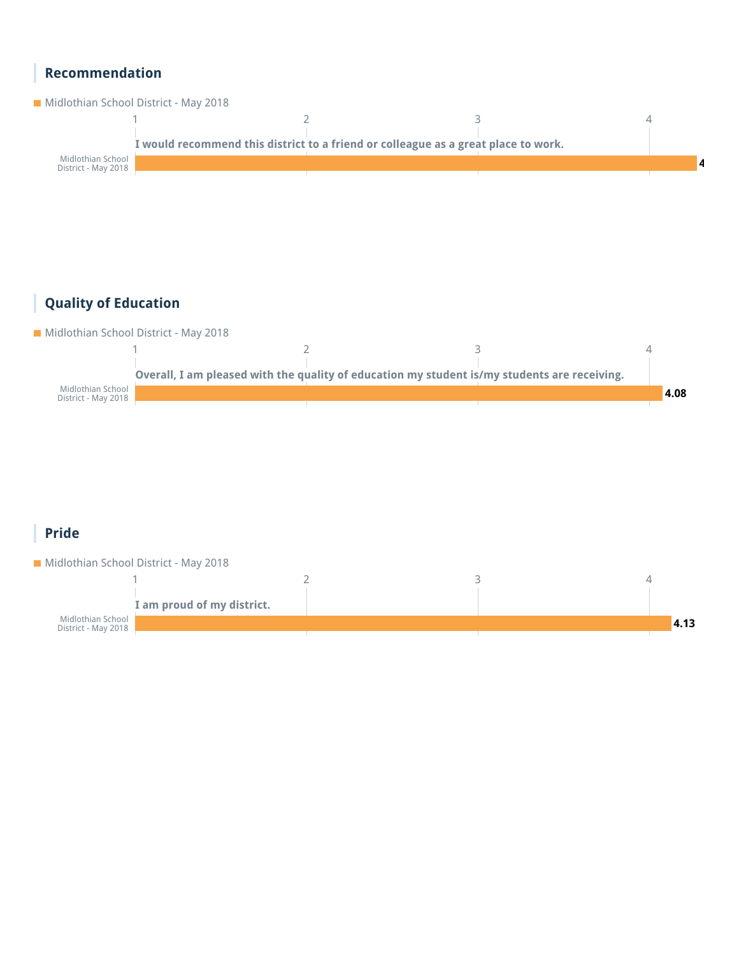### **Recommendation**



### **Quality of Education**

Midlothian School District - May 2018



### **Pride**

**Midlothian School District - May 2018** 

|                                          | I am proud of my district. |  |      |
|------------------------------------------|----------------------------|--|------|
| Midlothian School<br>District - May 2018 |                            |  | 4.13 |
|                                          |                            |  |      |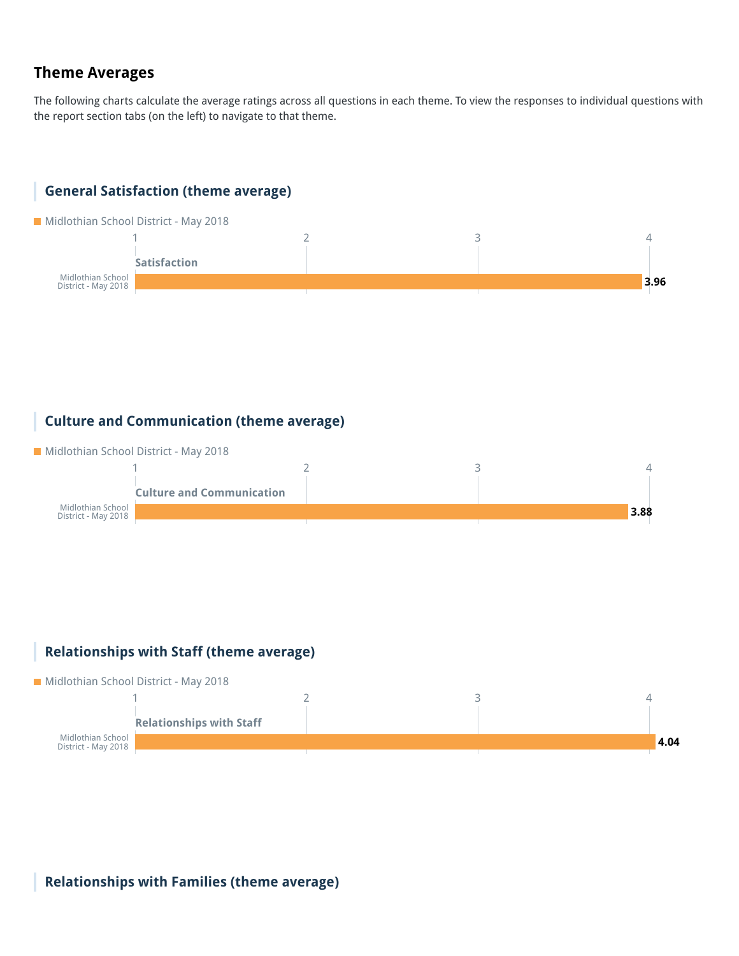### **Theme Averages**

The following charts calculate the average ratings across all questions in each theme. To view the responses to individual questions with the report section tabs (on the left) to navigate to that theme.

### **General Satisfaction (theme average)**

**Midlothian School District - May 2018** 



#### **Culture and Communication (theme average)**

**Midlothian School District - May 2018** 



#### **Relationships with Staff (theme average)**



**Relationships with Families (theme average)**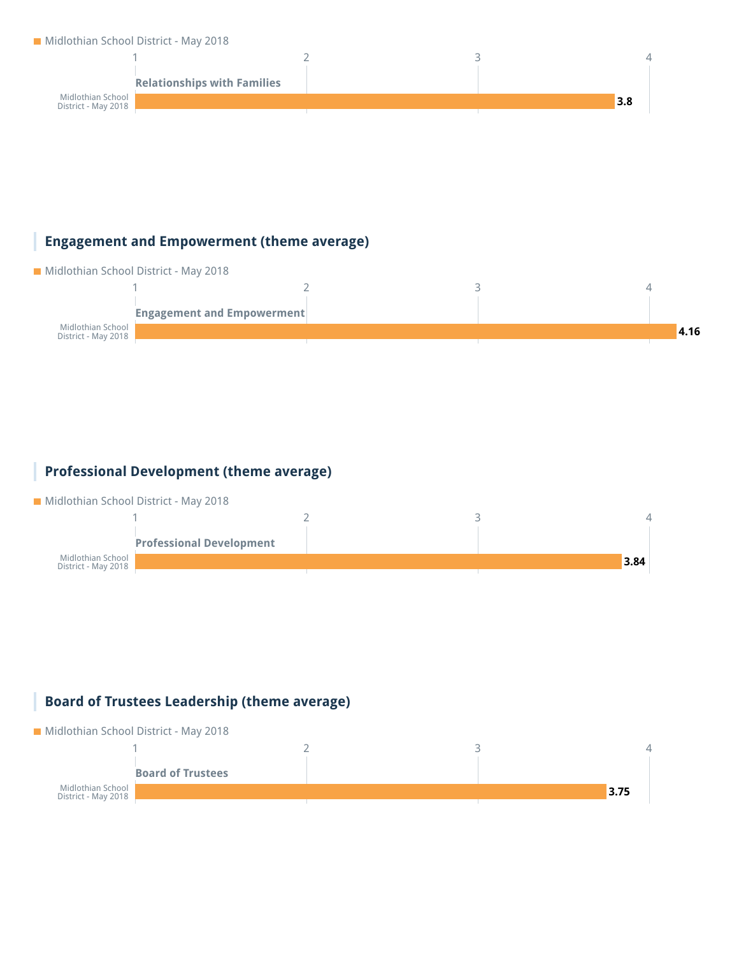#### Midlothian School District - May 2018



#### **Engagement and Empowerment (theme average)**



#### **Professional Development (theme average)**

**Midlothian School District - May 2018** 



#### **Board of Trustees Leadership (theme average)**

#### Midlothian School District - May 2018

|                                          | <b>Board of Trustees</b> |      |  |
|------------------------------------------|--------------------------|------|--|
| Midlothian School<br>District - May 2018 |                          | 3.75 |  |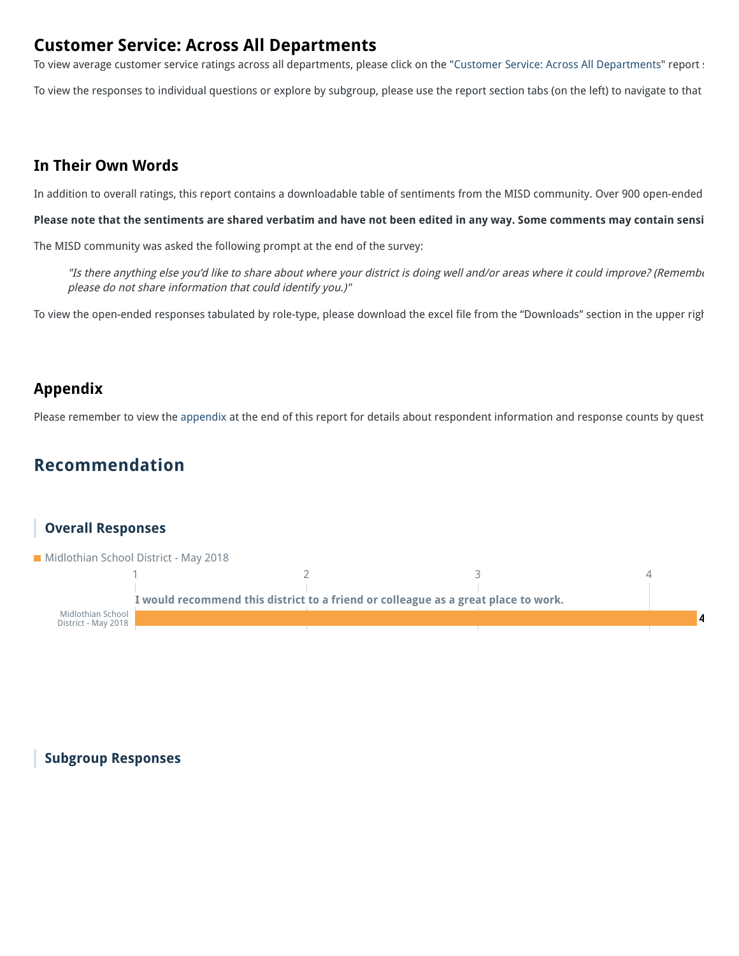### **Customer Service: Across All Departments**

To view average customer service ratings across all departments, please click on the "Customer Service: Across All Departments" report :

To view the responses to individual questions or explore by subgroup, please use the report section tabs (on the left) to navigate to that

#### **In Their Own Words**

In addition to overall ratings, this report contains a downloadable table of sentiments from the MISD community. Over 900 open-ended

**Please note that the sentiments are shared verbatim and have not been edited in any way. Some comments may contain sensi**

The MISD community was asked the following prompt at the end of the survey:

"Is there anything else you'd like to share about where your district is doing well and/or areas where it could improve? (Remembe please do not share information that could identify you.)"

To view the open-ended responses tabulated by role-type, please download the excel file from the "Downloads" section in the upper righ

### **Appendix**

Please remember to view the appendix at the end of this report for details about respondent information and response counts by quest

### **Recommendation**



#### **Subgroup Responses**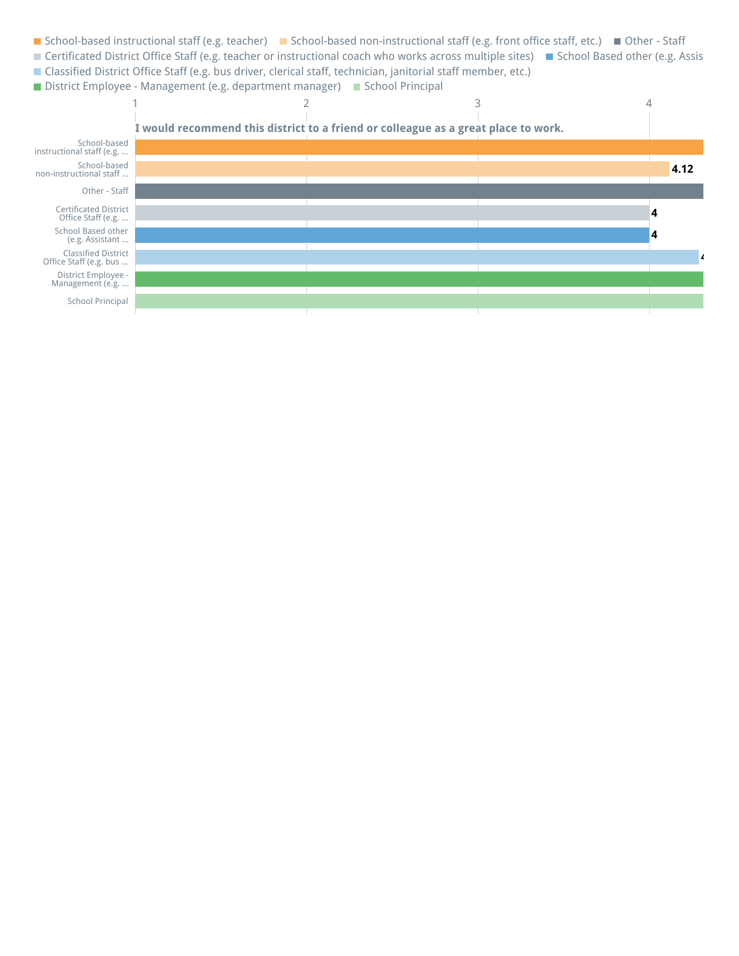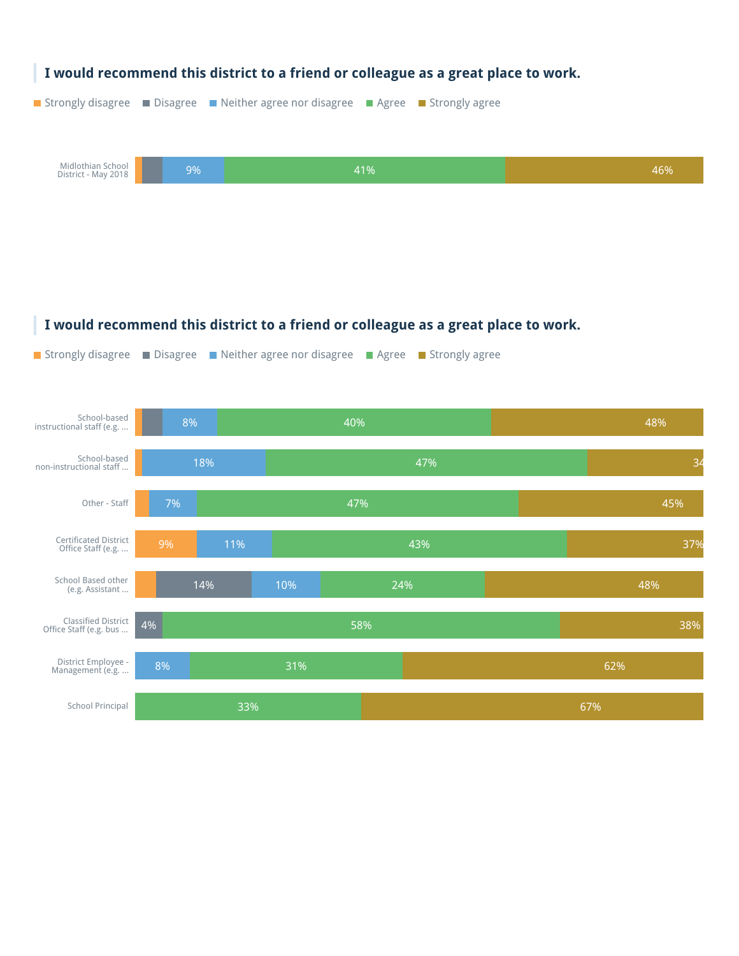

#### **I would recommend this district to a friend or colleague as a great place to work.**

**Strongly disagree** Disagree Neither agree nor disagree Agree Strongly agree

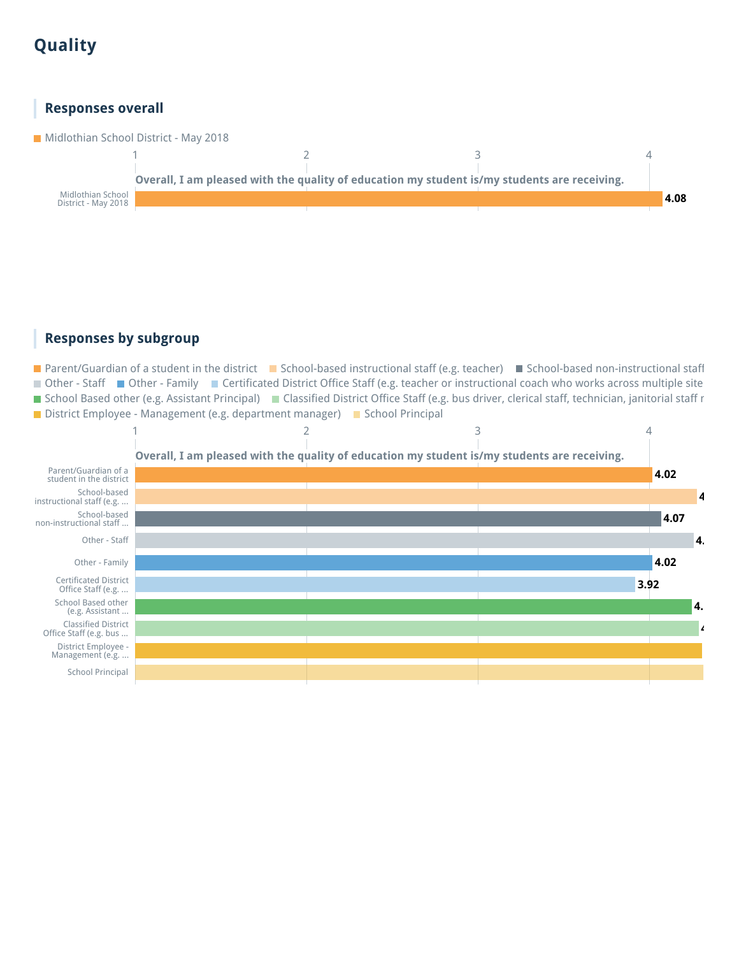## **Quality**

#### **Responses overall**

Midlothian School District - May 2018



#### **Responses by subgroup**

■ Parent/Guardian of a student in the district ■ School-based instructional staff (e.g. teacher) ■ School-based non-instructional staff ■ Other - Staff ■ Other - Family ■ Certificated District Office Staff (e.g. teacher or instructional coach who works across multiple site ■ School Based other (e.g. Assistant Principal) ■ Classified District Office Staff (e.g. bus driver, clerical staff, technician, janitorial staff r ■ District Employee - Management (e.g. department manager) ■ School Principal

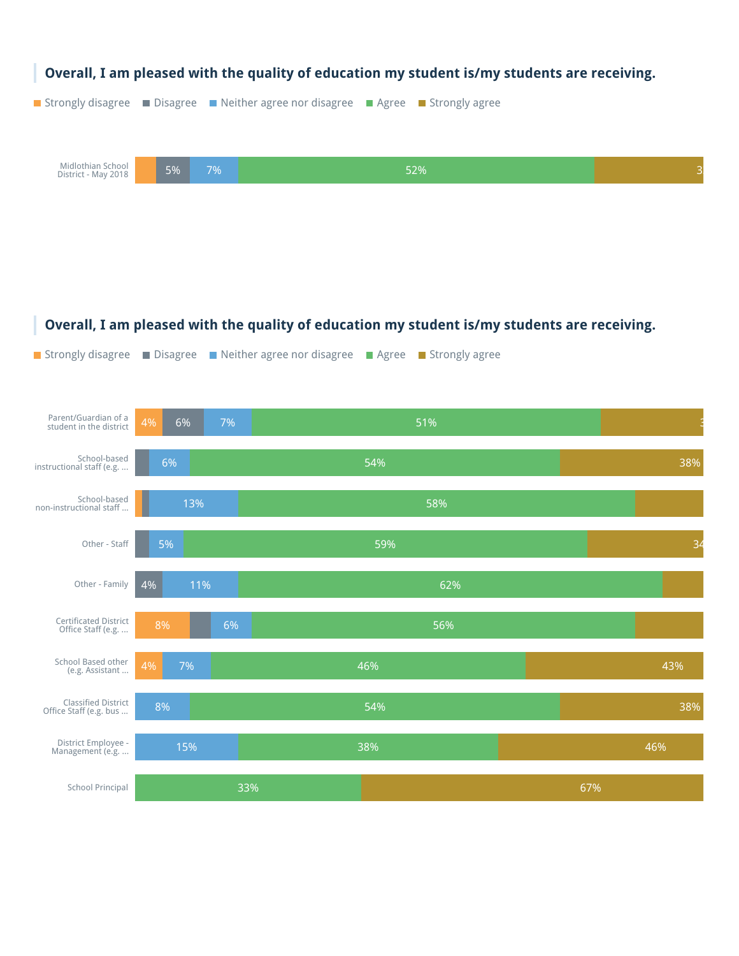

#### **Overall, I am pleased with the quality of education my student is/my students are receiving.**

**Strongly disagree** Disagree Neither agree nor disagree Agree Strongly agree

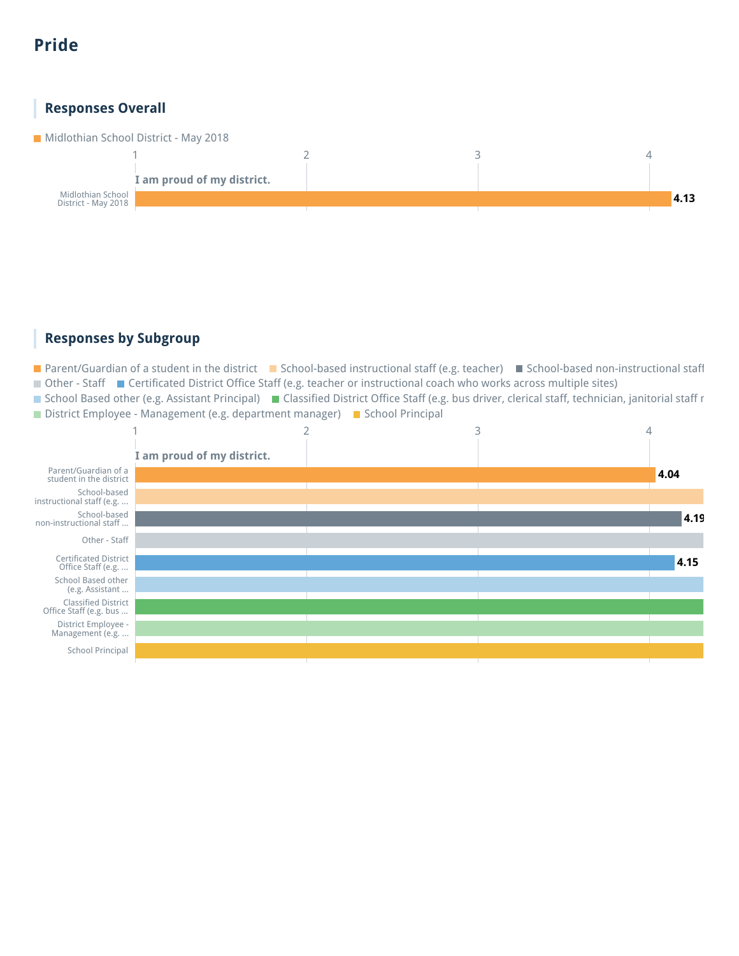## **Pride**

#### **Responses Overall**

**Midlothian School District - May 2018** 



#### **Responses by Subgroup**

■ Parent/Guardian of a student in the district ■ School-based instructional staff (e.g. teacher) ■ School-based non-instructional staff ■ Other - Staff ■ Certificated District Office Staff (e.g. teacher or instructional coach who works across multiple sites)

■ School Based other (e.g. Assistant Principal) ■ Classified District Office Staff (e.g. bus driver, clerical staff, technician, janitorial staff r District Employee - Management (e.g. department manager) B School Principal

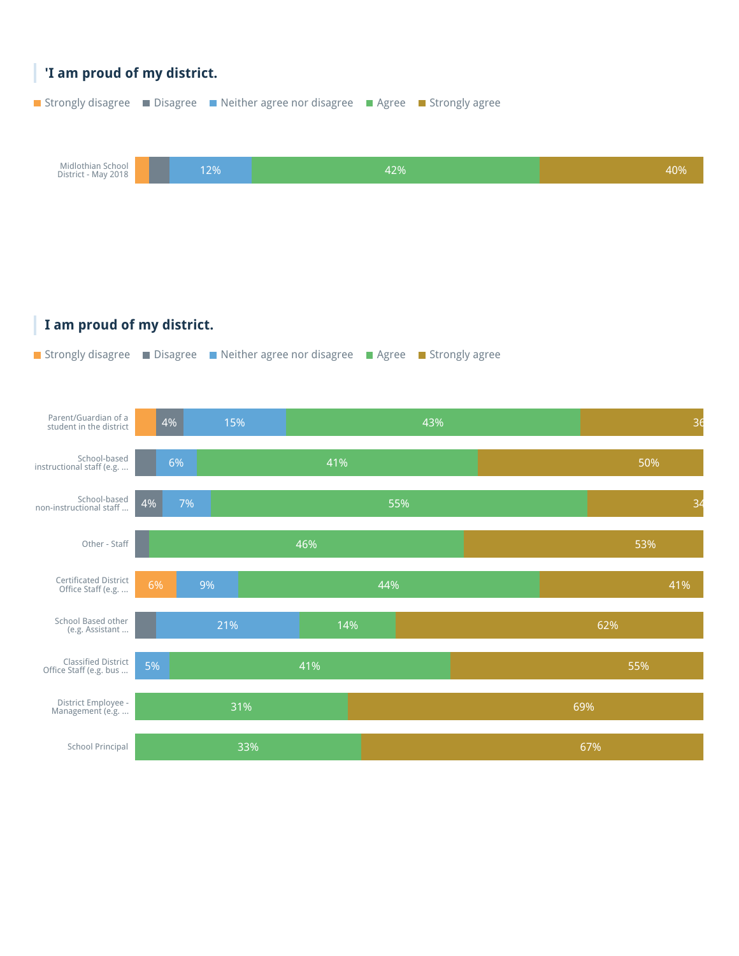

**I am proud of my district.**



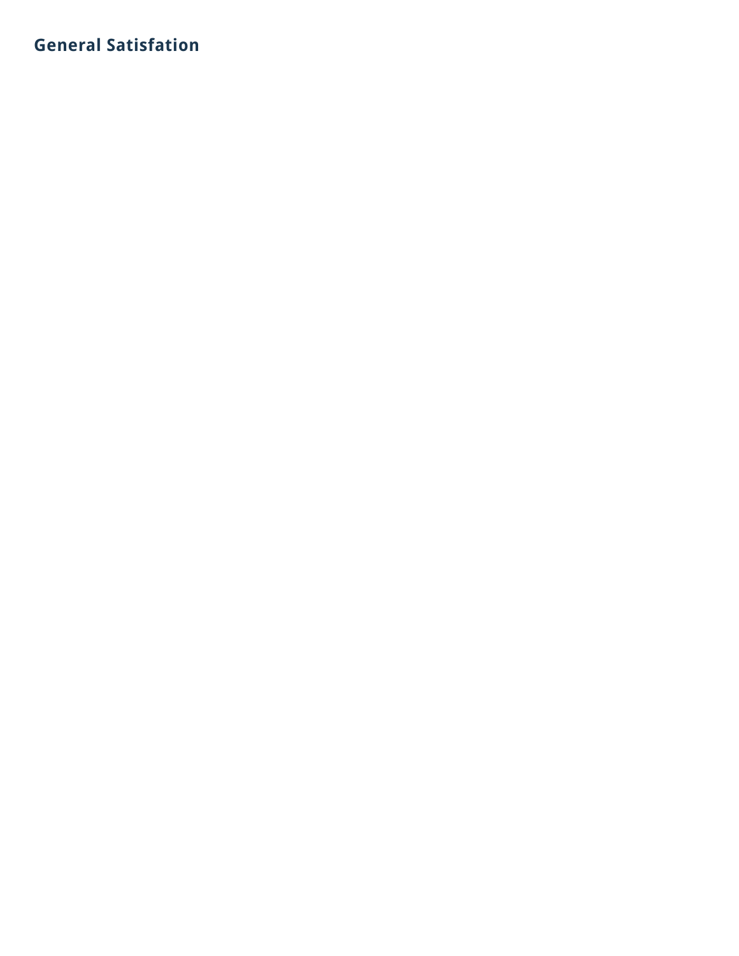## **General Satisfation**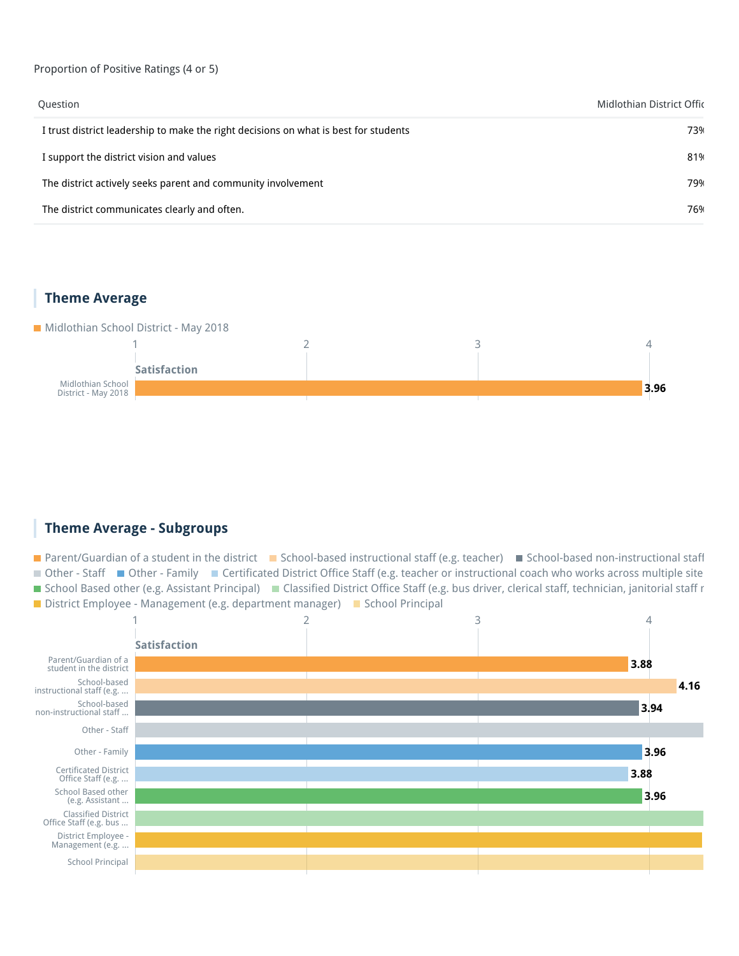#### Proportion of Positive Ratings (4 or 5)

| Question                                                                             | Midlothian District Offic |
|--------------------------------------------------------------------------------------|---------------------------|
| I trust district leadership to make the right decisions on what is best for students | 73%                       |
| I support the district vision and values                                             | 81%                       |
| The district actively seeks parent and community involvement                         | 79%                       |
| The district communicates clearly and often.                                         | 76%                       |

#### **Theme Average**

#### Midlothian School District - May 2018



#### **Theme Average - Subgroups**

■ Parent/Guardian of a student in the district ■ School-based instructional staff (e.g. teacher) ■ School-based non-instructional staff ■ Other - Staff ■ Other - Family ■ Certificated District Office Staff (e.g. teacher or instructional coach who works across multiple site ■ School Based other (e.g. Assistant Principal) ■ Classified District Office Staff (e.g. bus driver, clerical staff, technician, janitorial staff r District Employee - Management (e.g. department manager) School Principal

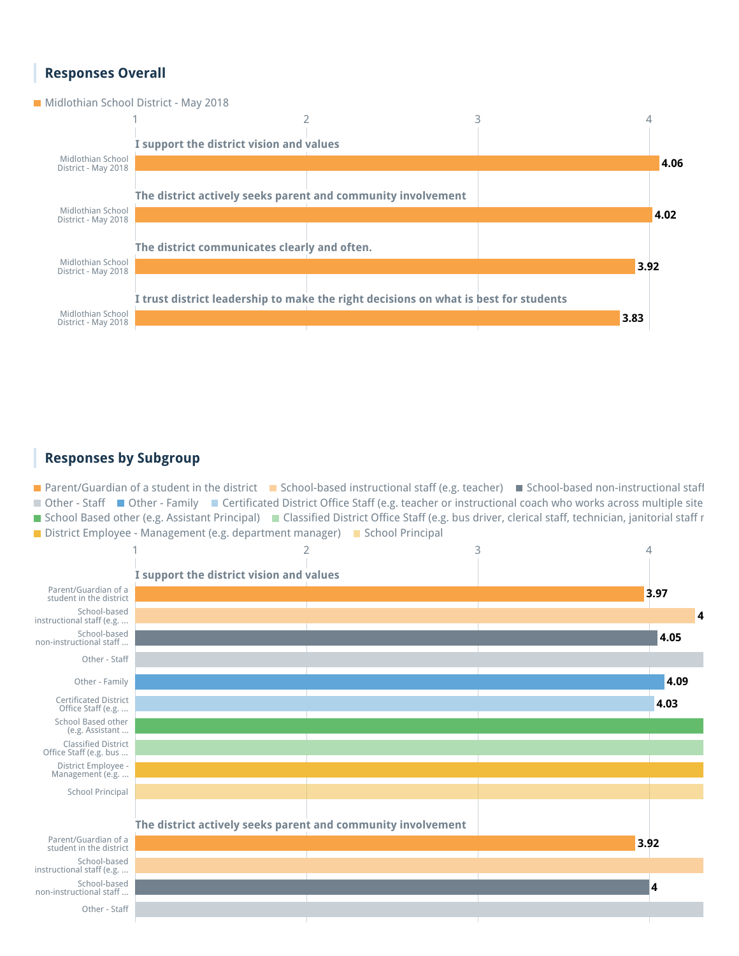#### **Responses Overall**

**Midlothian School District - May 2018** 



#### **Responses by Subgroup**

**Parent/Guardian of a student in the district P** School-based instructional staff (e.g. teacher) **School-based non-instructional staff** ■ Other - Staff ■ Other - Family ■ Certificated District Office Staff (e.g. teacher or instructional coach who works across multiple site ■ School Based other (e.g. Assistant Principal) ■ Classified District Office Staff (e.g. bus driver, clerical staff, technician, janitorial staff r District Employee - Management (e.g. department manager) School Principal

![](_page_15_Figure_5.jpeg)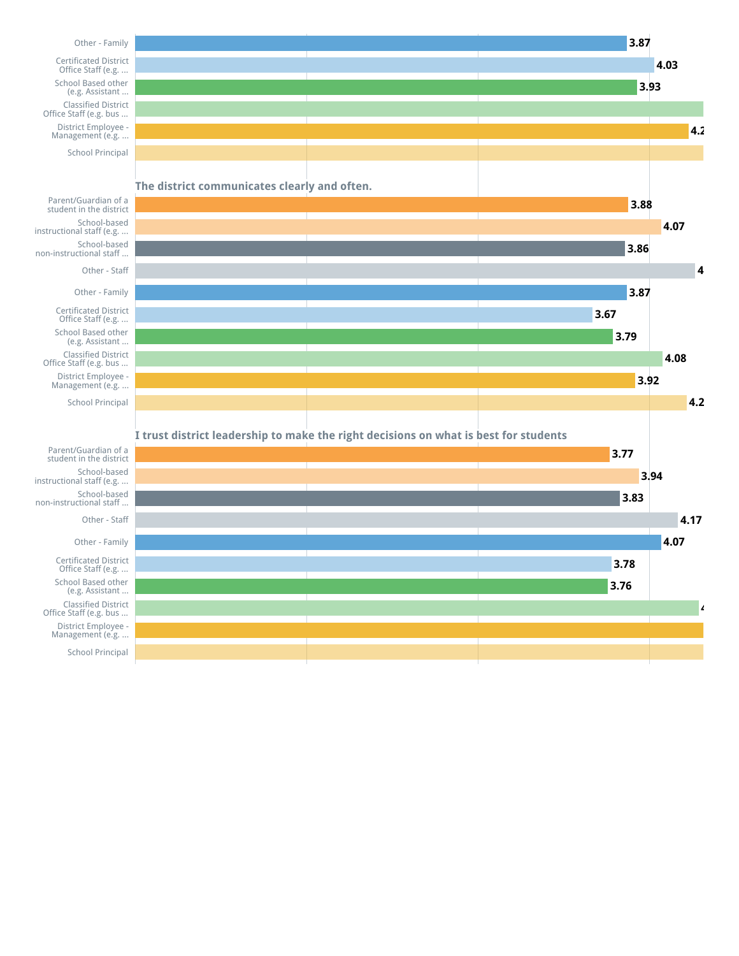![](_page_16_Figure_0.jpeg)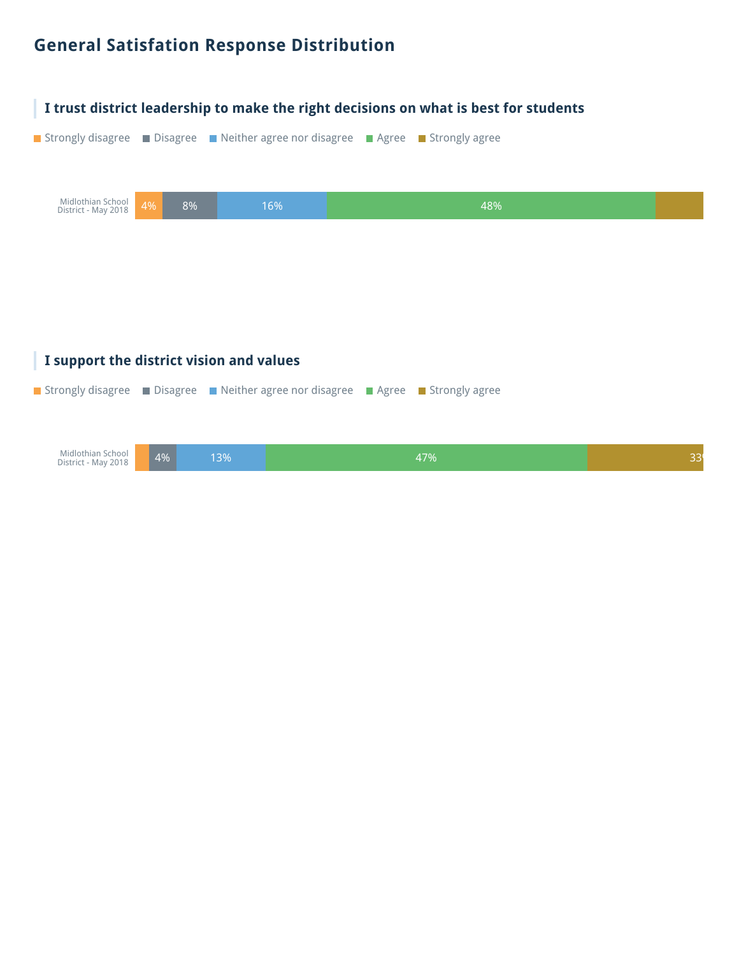### **General Satisfation Response Distribution**

![](_page_17_Picture_1.jpeg)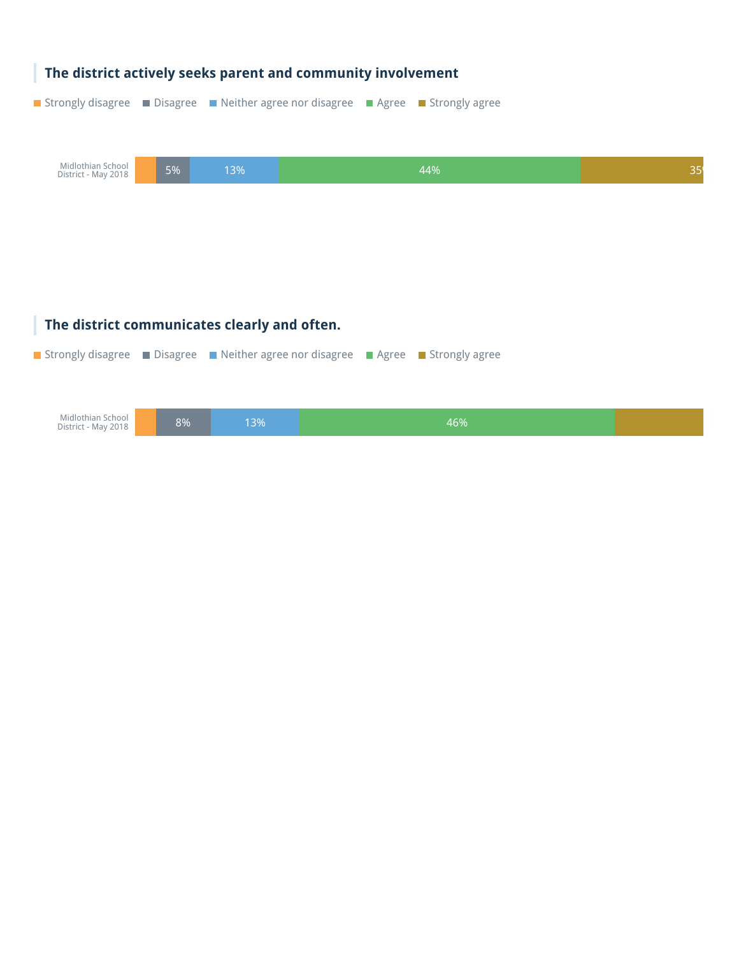| The district actively seeks parent and community involvement                         |    |                                              |  |  |     |    |
|--------------------------------------------------------------------------------------|----|----------------------------------------------|--|--|-----|----|
| ■ Strongly disagree ■ Disagree ■ Neither agree nor disagree ■ Agree ■ Strongly agree |    |                                              |  |  |     |    |
|                                                                                      |    |                                              |  |  |     |    |
| Midlothian School<br>District - May 2018                                             | 5% | 13%                                          |  |  | 44% | 35 |
|                                                                                      |    |                                              |  |  |     |    |
|                                                                                      |    |                                              |  |  |     |    |
|                                                                                      |    |                                              |  |  |     |    |
|                                                                                      |    |                                              |  |  |     |    |
|                                                                                      |    | The district communicates clearly and often. |  |  |     |    |
| ■ Strongly disagree ■ Disagree ■ Neither agree nor disagree ■ Agree ■ Strongly agree |    |                                              |  |  |     |    |
|                                                                                      |    |                                              |  |  |     |    |
| Midlothian School<br>District - May 2018                                             | 8% | 13%                                          |  |  | 46% |    |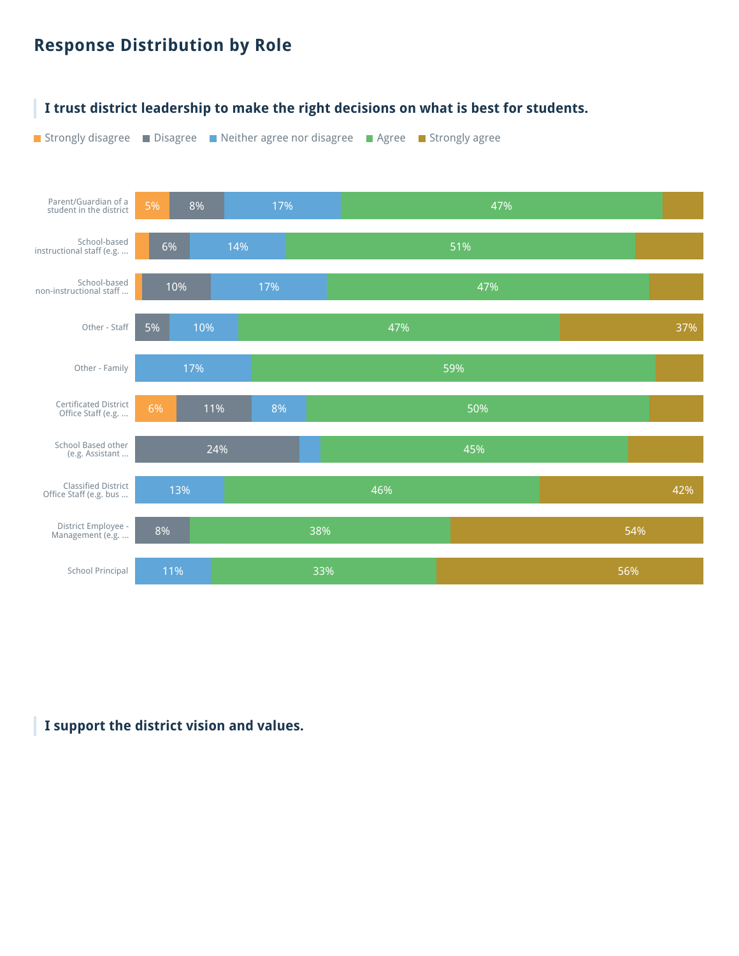### **Response Distribution by Role**

![](_page_19_Figure_1.jpeg)

#### **I support the district vision and values.**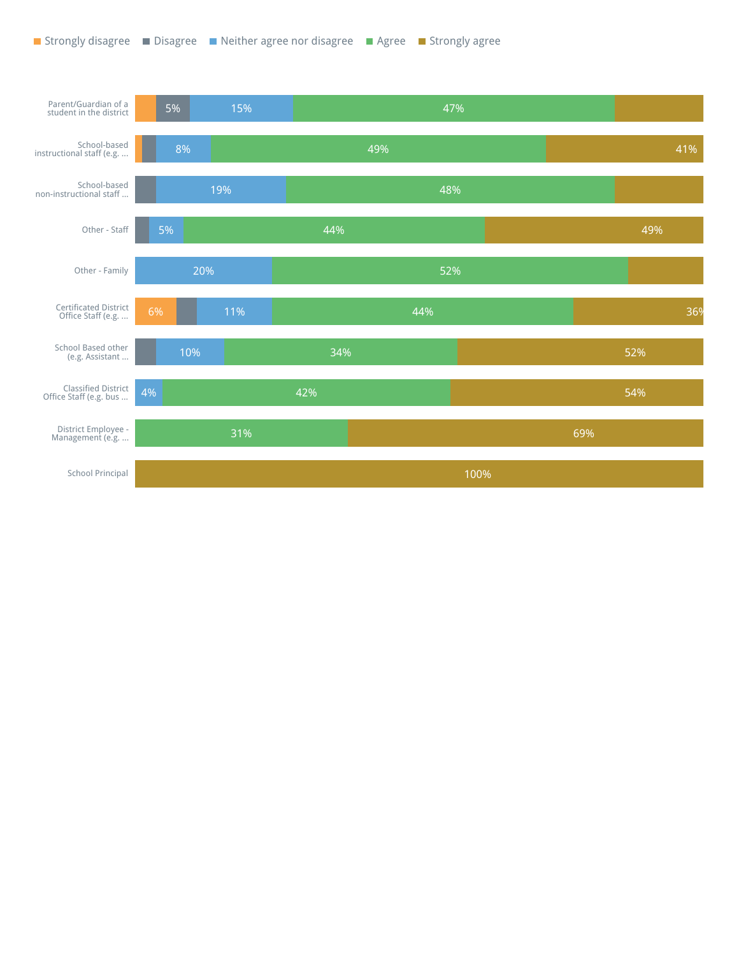![](_page_20_Figure_1.jpeg)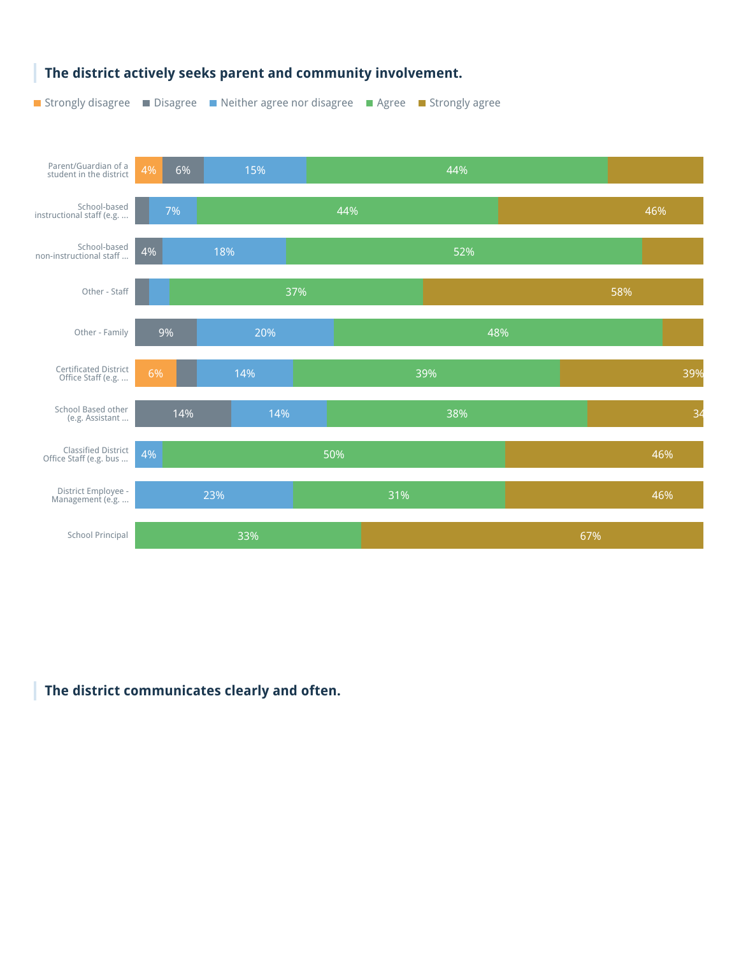![](_page_21_Figure_0.jpeg)

#### **The district actively seeks parent and community involvement.**

**The district communicates clearly and often.**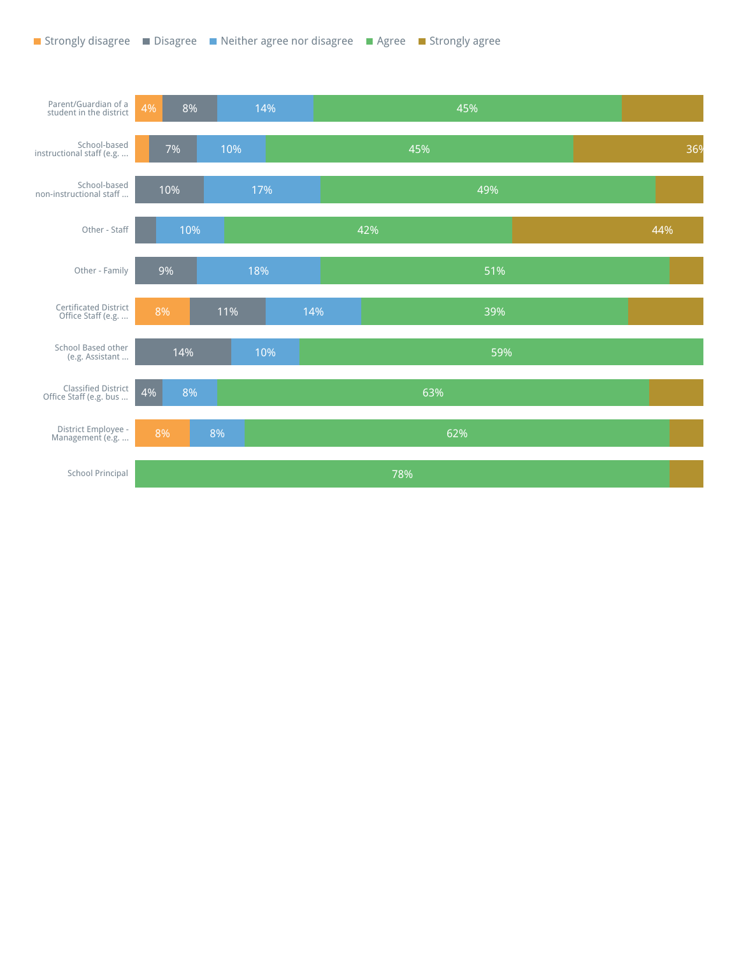![](_page_22_Figure_1.jpeg)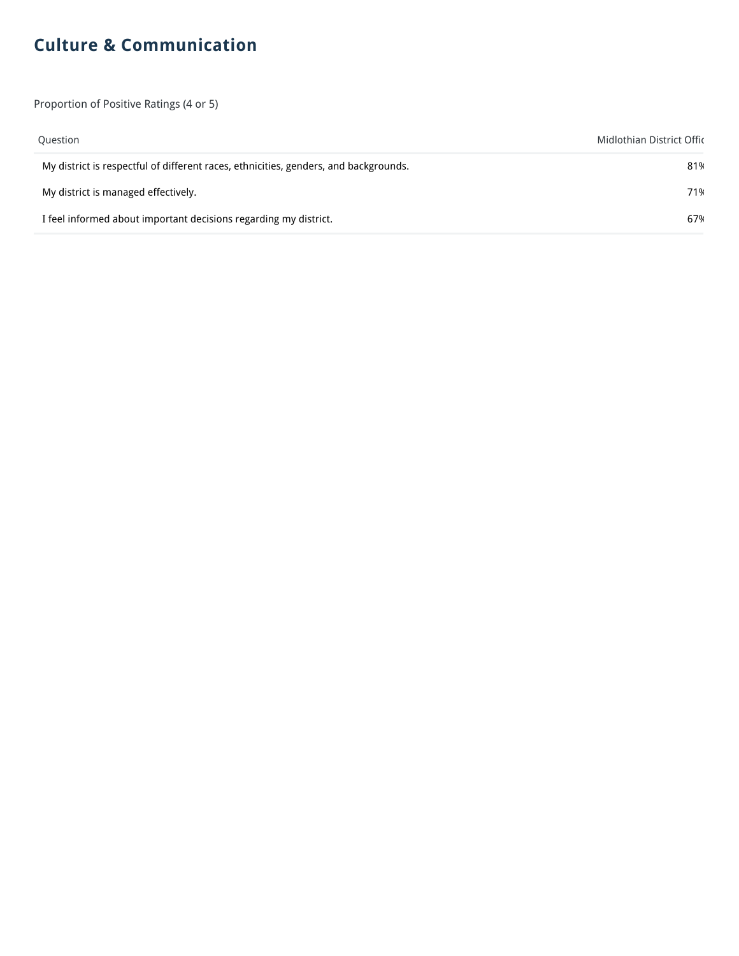## **Culture & Communication**

Proportion of Positive Ratings (4 or 5)

| Question                                                                             | Midlothian District Offic |
|--------------------------------------------------------------------------------------|---------------------------|
| My district is respectful of different races, ethnicities, genders, and backgrounds. | 81%                       |
| My district is managed effectively.                                                  | 71%                       |
| I feel informed about important decisions regarding my district.                     | 67%                       |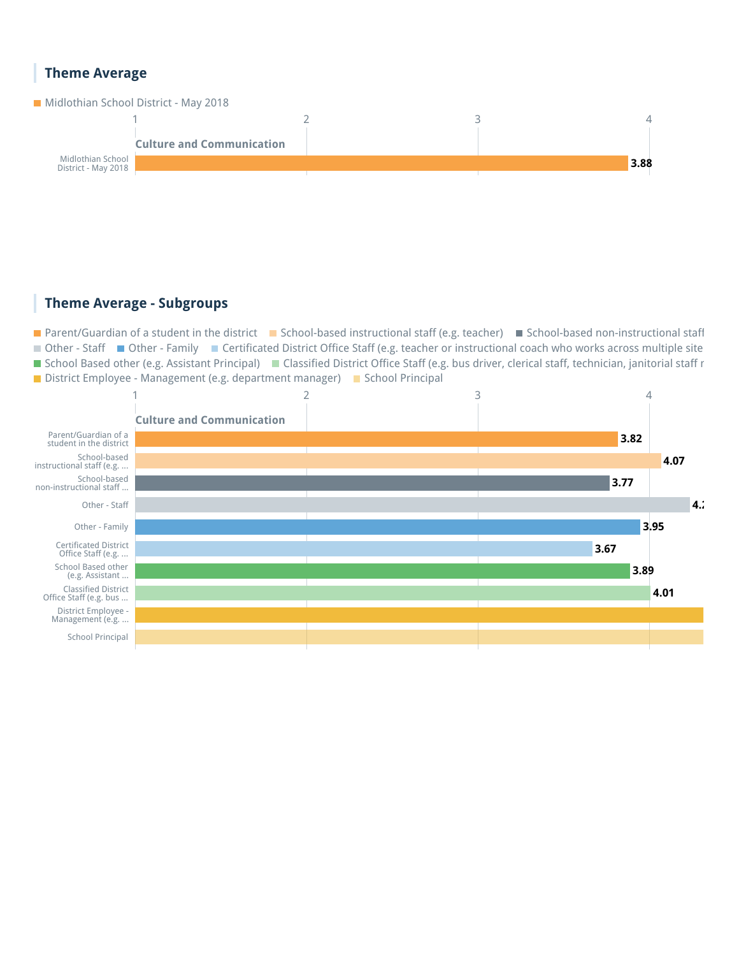#### **Theme Average**

![](_page_24_Figure_1.jpeg)

![](_page_24_Figure_2.jpeg)

#### **Theme Average - Subgroups**

■ Parent/Guardian of a student in the district ■ School-based instructional staff (e.g. teacher) ■ School-based non-instructional staff ■ Other - Staff ■ Other - Family ■ Certificated District Office Staff (e.g. teacher or instructional coach who works across multiple site ■ School Based other (e.g. Assistant Principal) ■ Classified District Office Staff (e.g. bus driver, clerical staff, technician, janitorial staff r District Employee - Management (e.g. department manager)  $\blacksquare$  School Principal

![](_page_24_Figure_5.jpeg)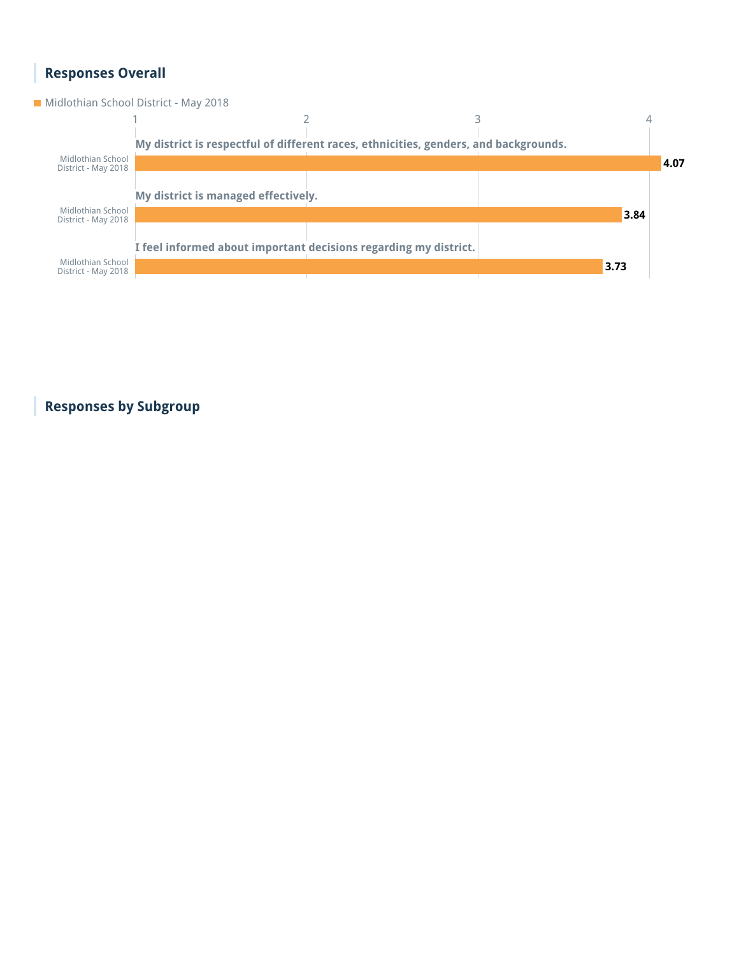## **Responses Overall**

**Midlothian School District - May 2018** 

![](_page_25_Figure_2.jpeg)

**Responses by Subgroup**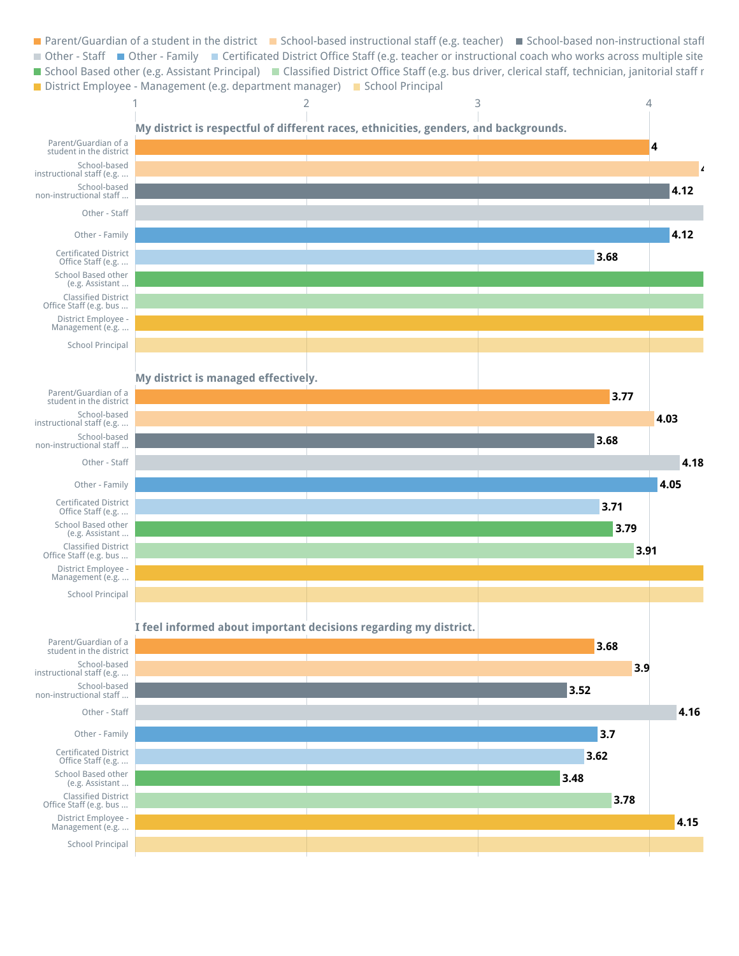![](_page_26_Figure_0.jpeg)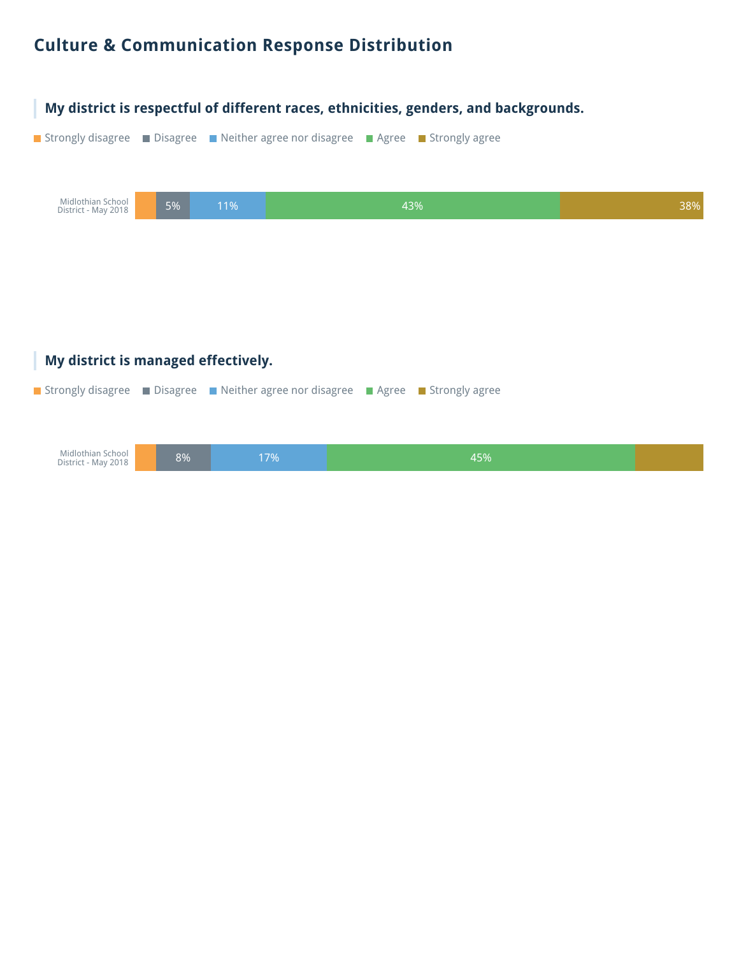### **Culture & Communication Response Distribution**

![](_page_28_Picture_1.jpeg)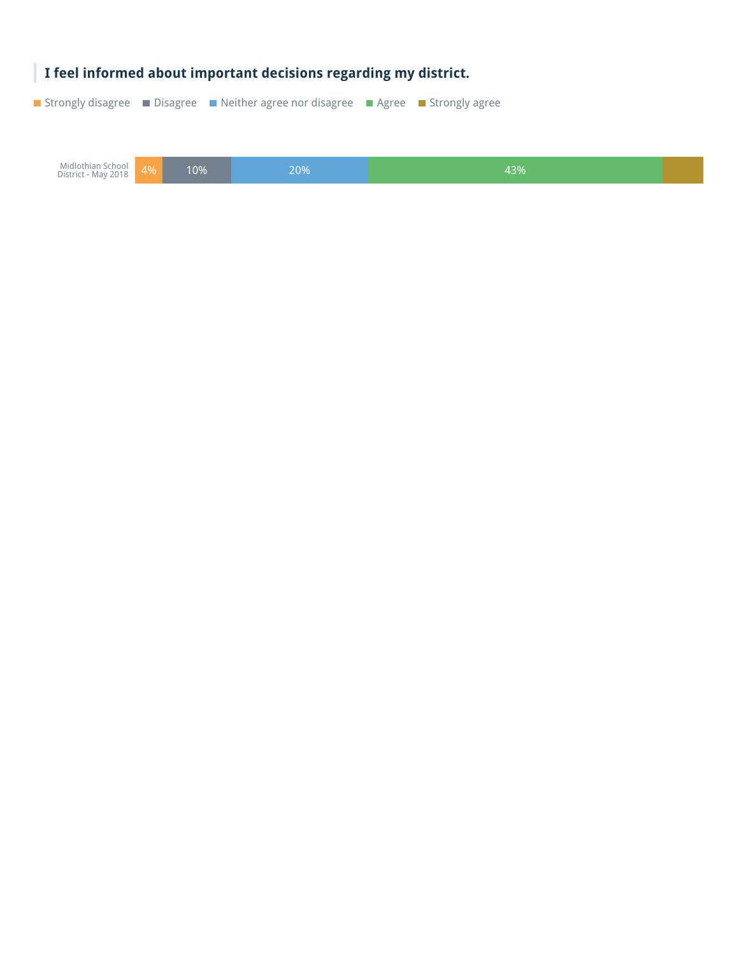![](_page_29_Picture_0.jpeg)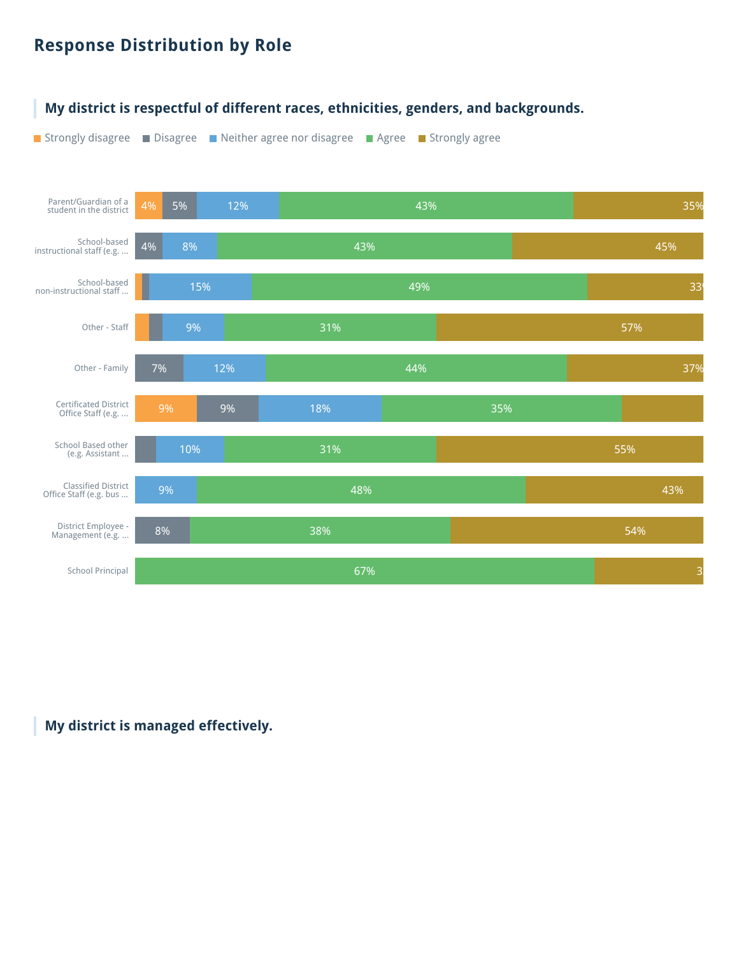### **Response Distribution by Role**

![](_page_30_Figure_1.jpeg)

#### **My district is managed effectively.**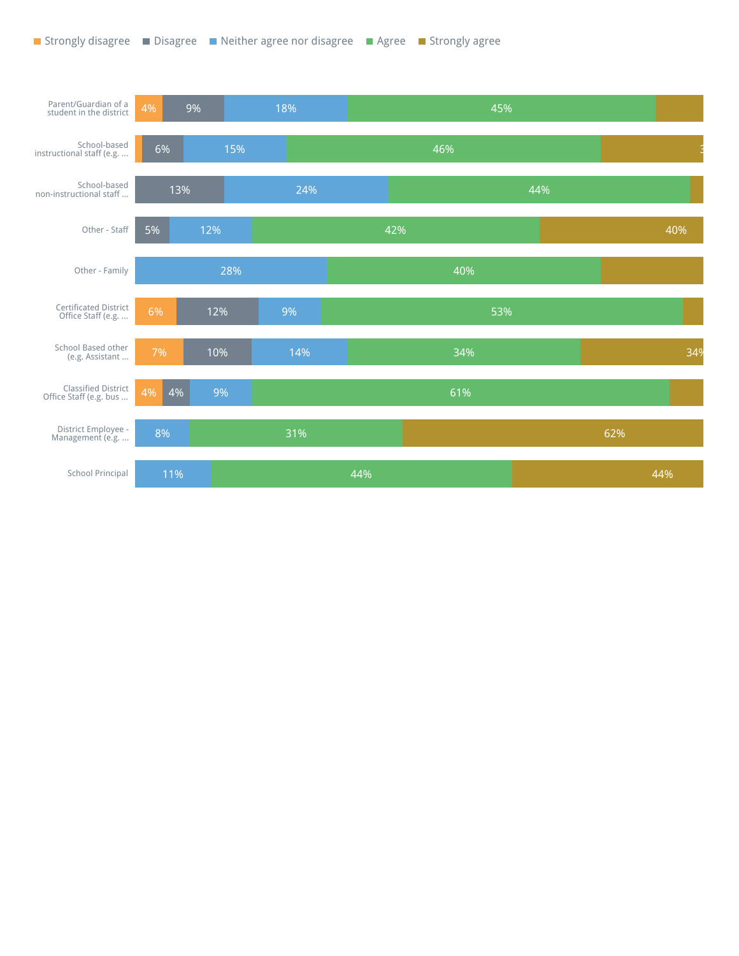![](_page_31_Figure_1.jpeg)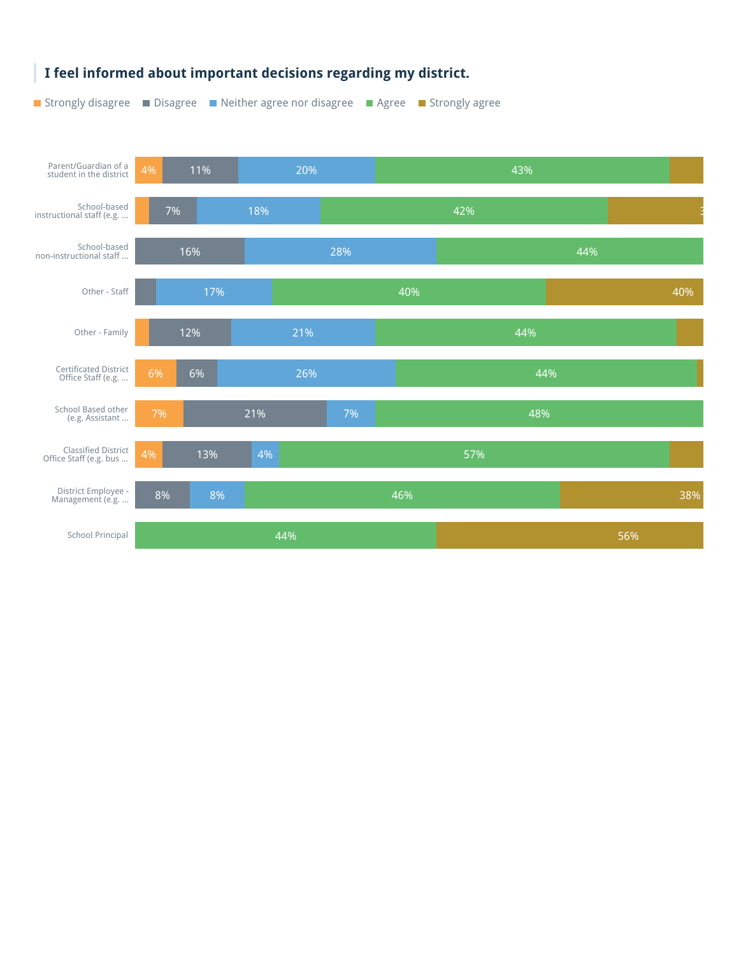![](_page_32_Figure_0.jpeg)

#### **I feel informed about important decisions regarding my district.**

ı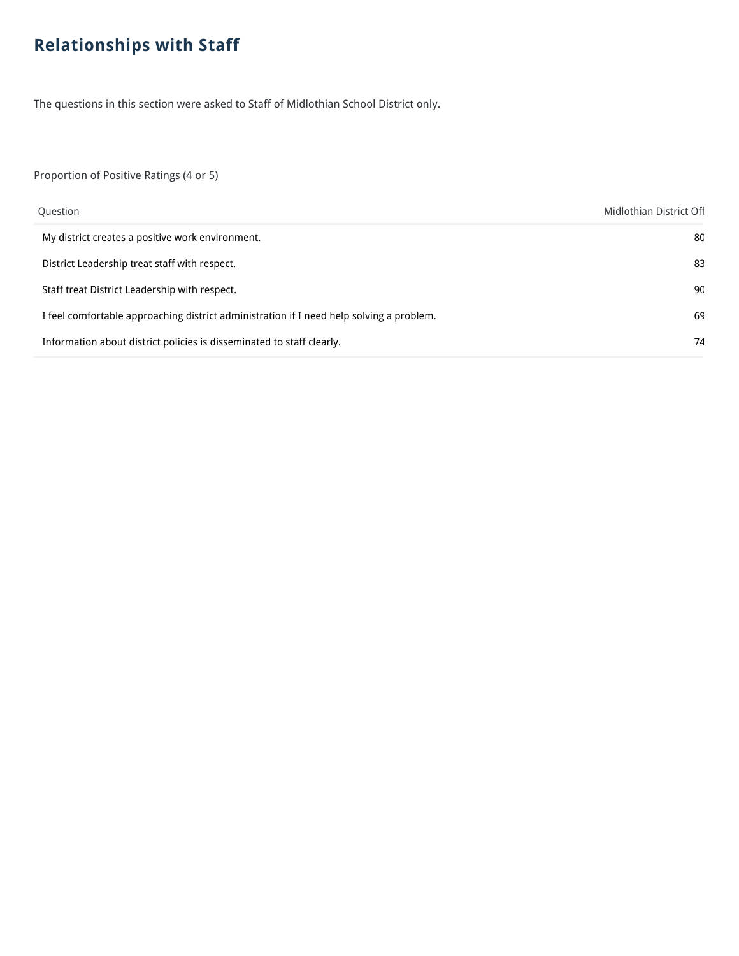## **Relationships with Staff**

The questions in this section were asked to Staff of Midlothian School District only.

Proportion of Positive Ratings (4 or 5)

| Question                                                                                 | Midlothian District Off |
|------------------------------------------------------------------------------------------|-------------------------|
| My district creates a positive work environment.                                         | 8C                      |
| District Leadership treat staff with respect.                                            | -83                     |
| Staff treat District Leadership with respect.                                            | 90                      |
| I feel comfortable approaching district administration if I need help solving a problem. | 69                      |
| Information about district policies is disseminated to staff clearly.                    | 74                      |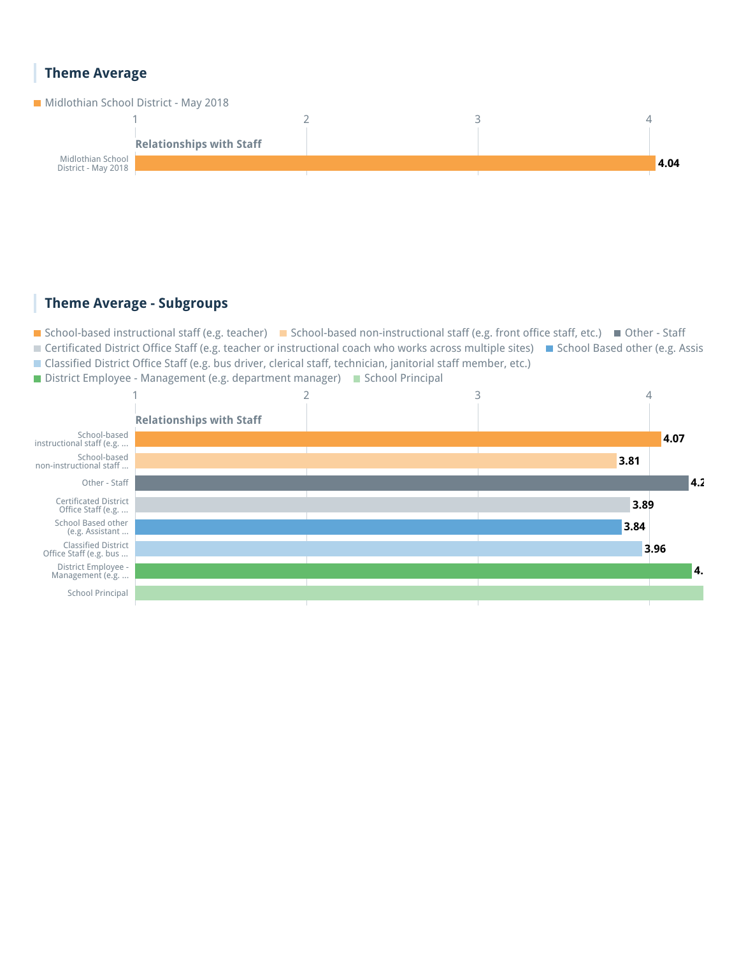#### **Theme Average**

![](_page_34_Figure_1.jpeg)

#### **Theme Average - Subgroups**

■ School-based instructional staff (e.g. teacher) ■ School-based non-instructional staff (e.g. front office staff, etc.) ■ Other - Staff ■ Certificated District Office Staff (e.g. teacher or instructional coach who works across multiple sites) ■ School Based other (e.g. Assis Classified District Office Staff (e.g. bus driver, clerical staff, technician, janitorial staff member, etc.)

■ District Employee - Management (e.g. department manager) ■ School Principal

![](_page_34_Figure_5.jpeg)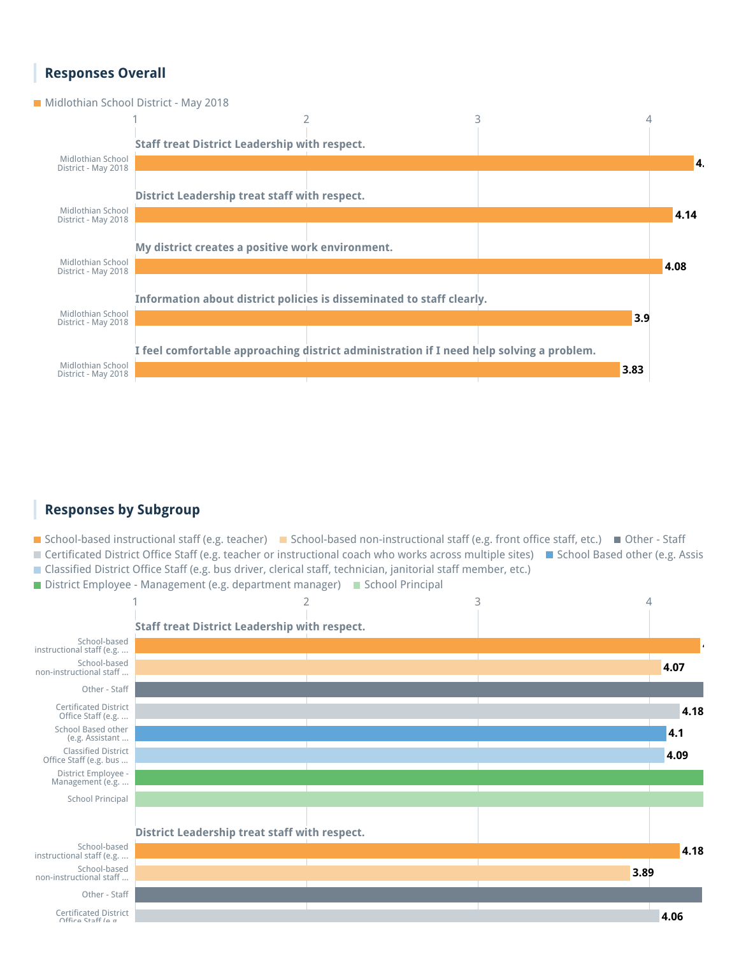#### **Responses Overall**

**Midlothian School District - May 2018** 

![](_page_35_Figure_2.jpeg)

#### **Responses by Subgroup**

■ School-based instructional staff (e.g. teacher) ■ School-based non-instructional staff (e.g. front office staff, etc.) ■ Other - Staff ■ Certificated District Office Staff (e.g. teacher or instructional coach who works across multiple sites) ■ School Based other (e.g. Assis Classified District Office Staff (e.g. bus driver, clerical staff, technician, janitorial staff member, etc.)

District Employee - Management (e.g. department manager) School Principal

![](_page_35_Figure_6.jpeg)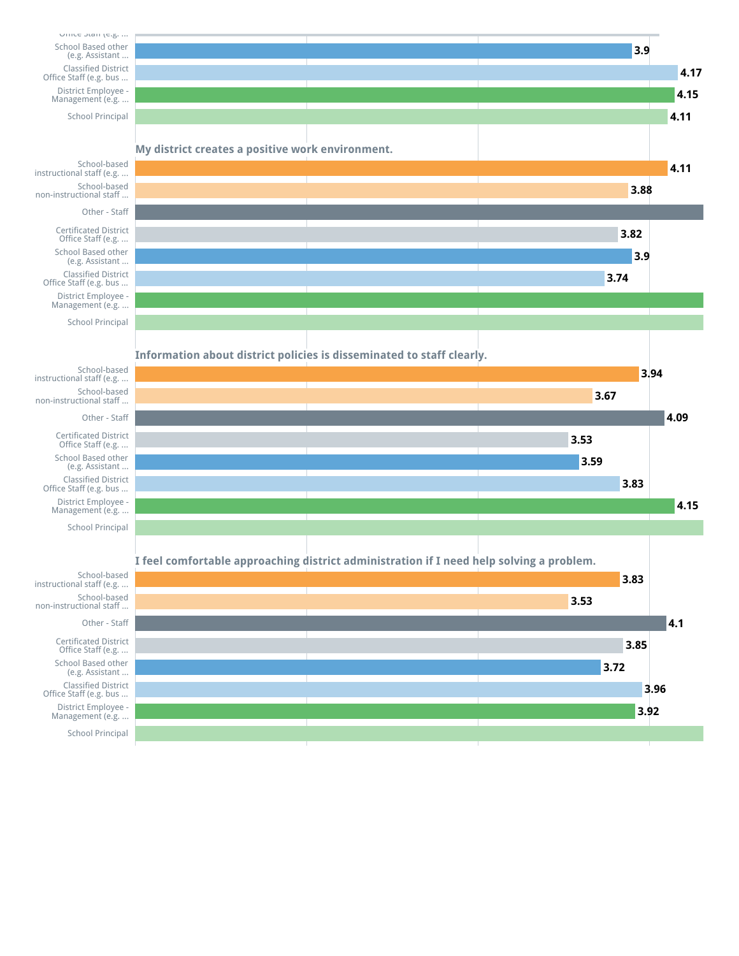![](_page_36_Figure_0.jpeg)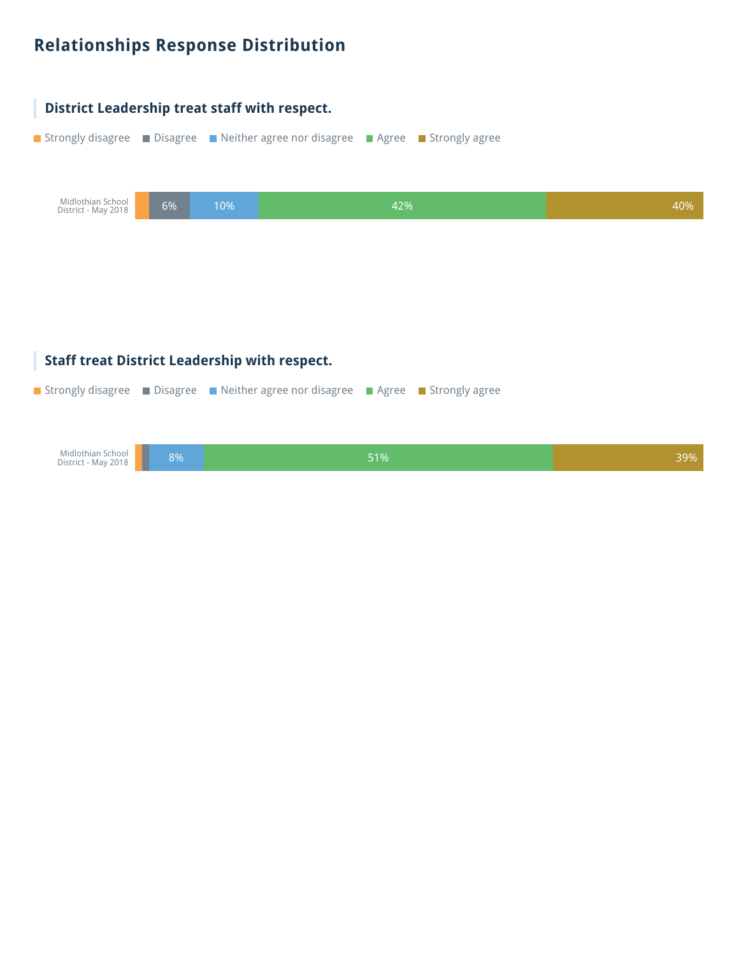## **Relationships Response Distribution**

![](_page_37_Figure_1.jpeg)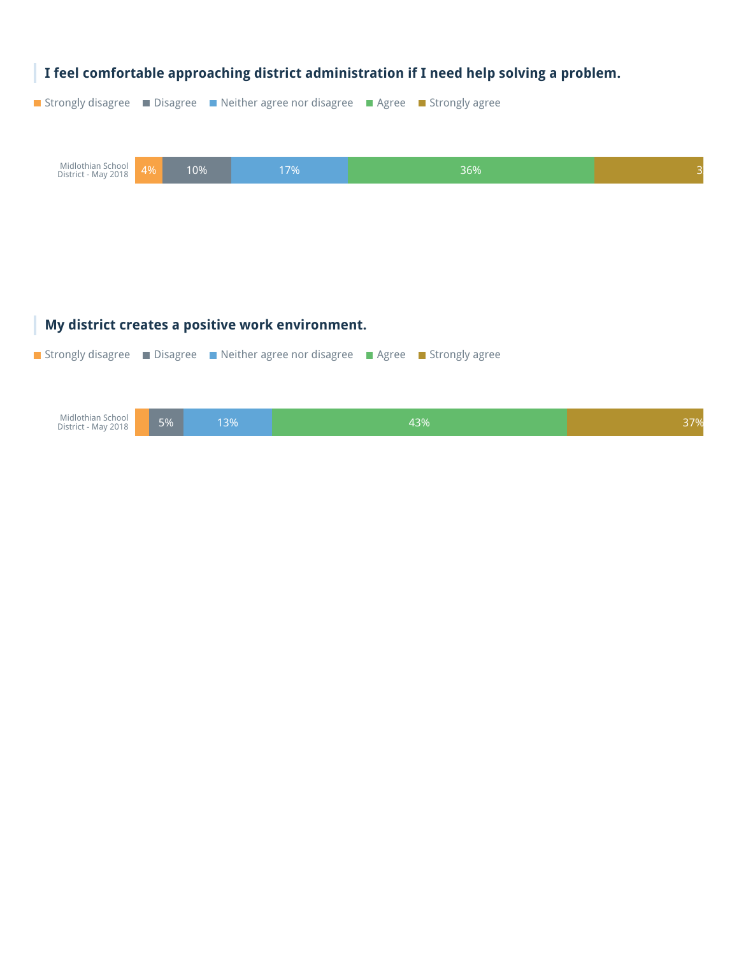![](_page_38_Picture_0.jpeg)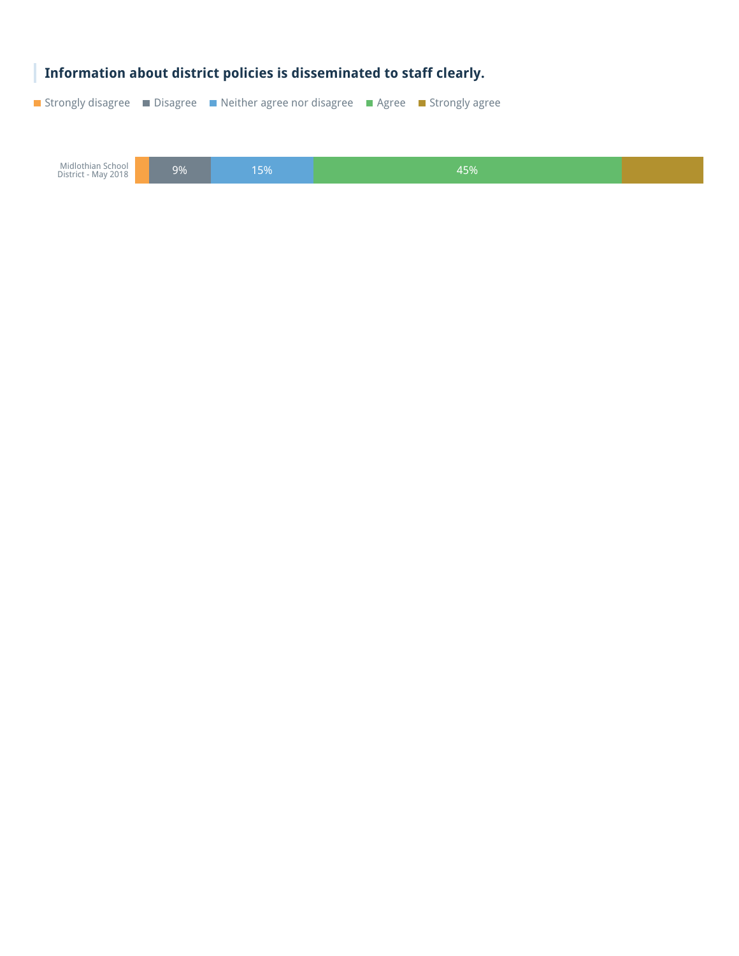![](_page_39_Picture_0.jpeg)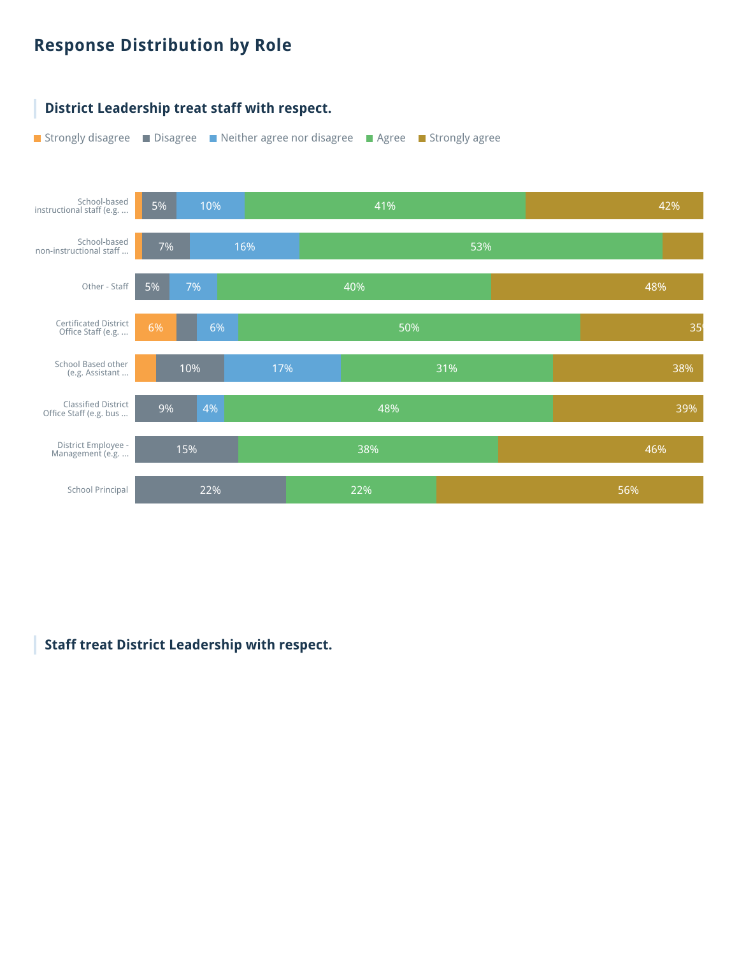## **Response Distribution by Role**

![](_page_40_Figure_1.jpeg)

#### **Staff treat District Leadership with respect.**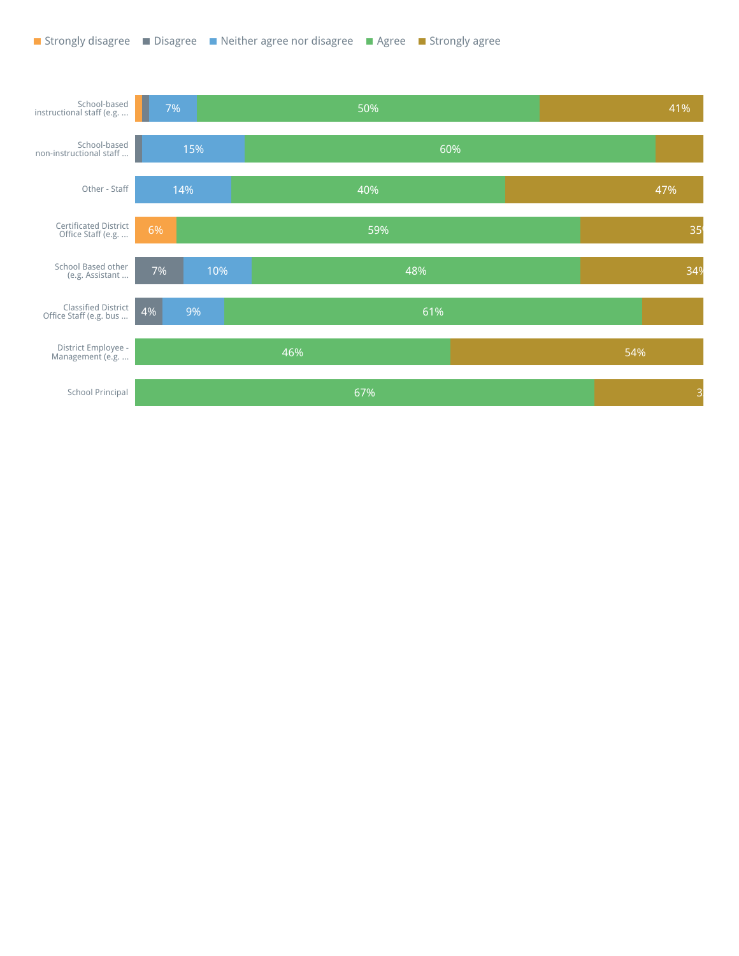![](_page_41_Figure_1.jpeg)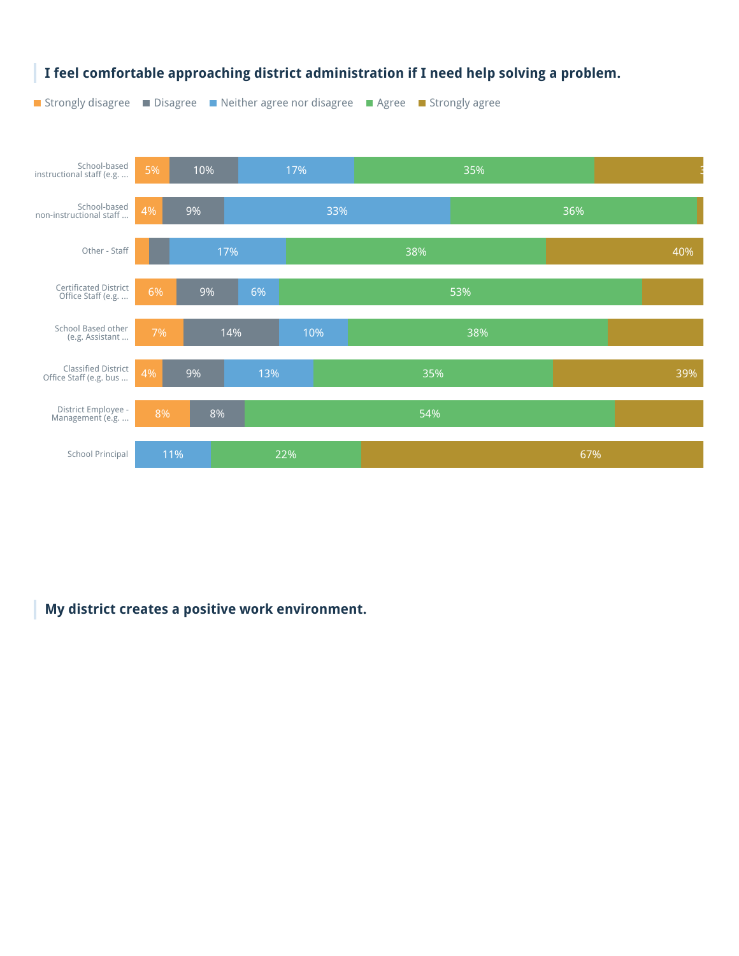![](_page_42_Figure_0.jpeg)

**My district creates a positive work environment.**

### **I feel comfortable approaching district administration if I need help solving a problem.**

■ Strongly disagree ■ Disagree ■ Neither agree nor disagree ■ Agree ■ Strongly agree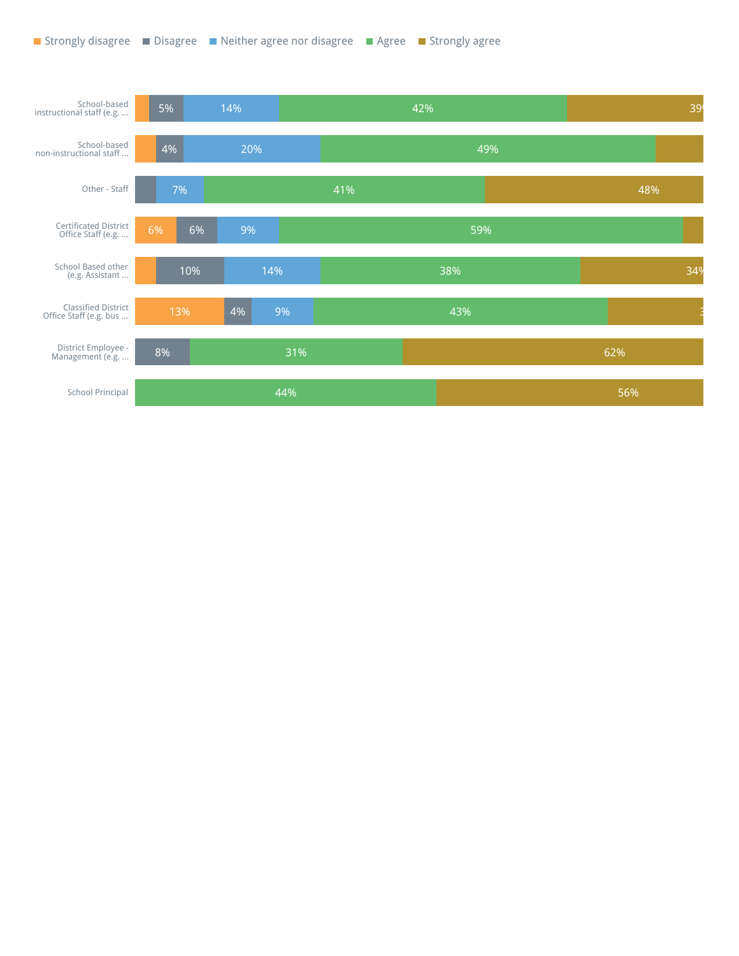![](_page_43_Figure_1.jpeg)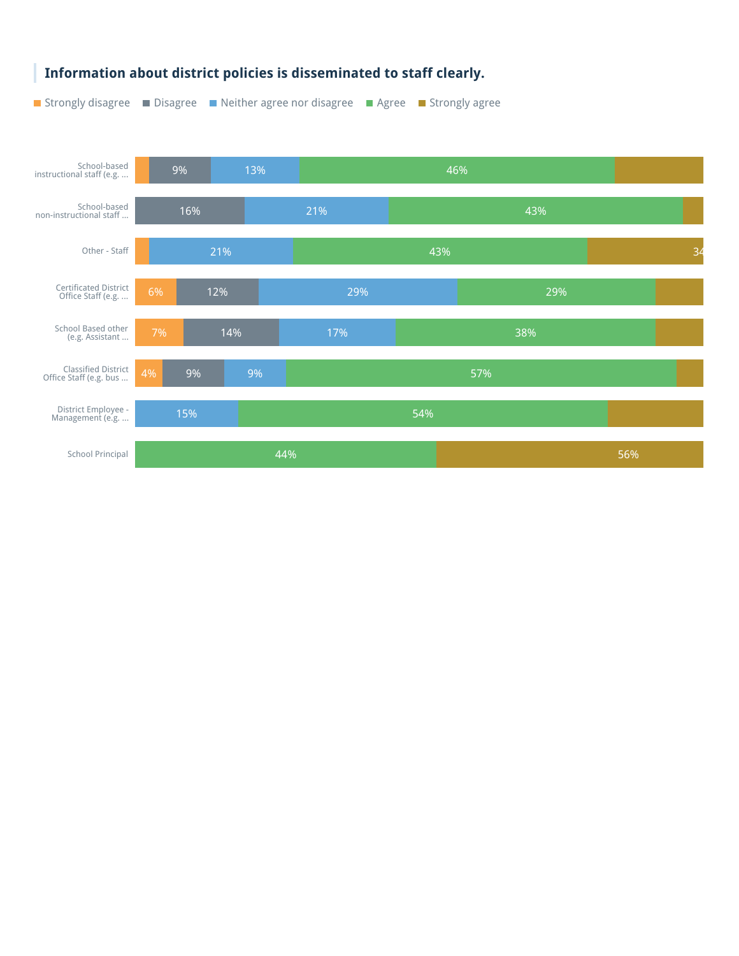![](_page_44_Figure_0.jpeg)

#### **Information about district policies is disseminated to staff clearly.**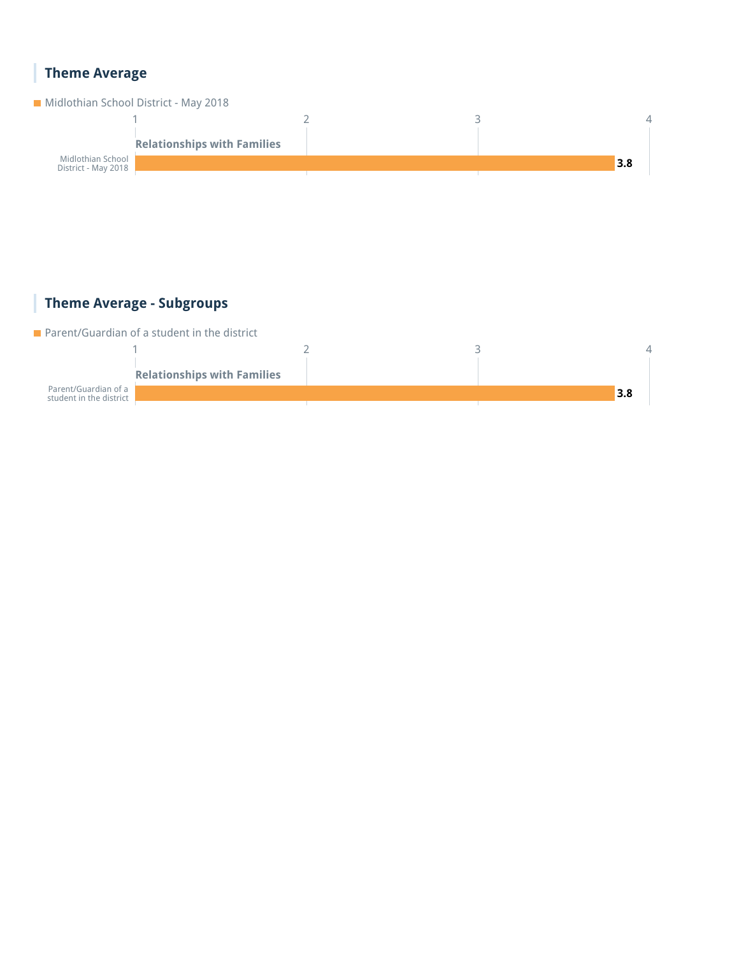### **Theme Average**

![](_page_45_Figure_1.jpeg)

### **Theme Average - Subgroups**

**Parent/Guardian of a student in the district** 

![](_page_45_Figure_4.jpeg)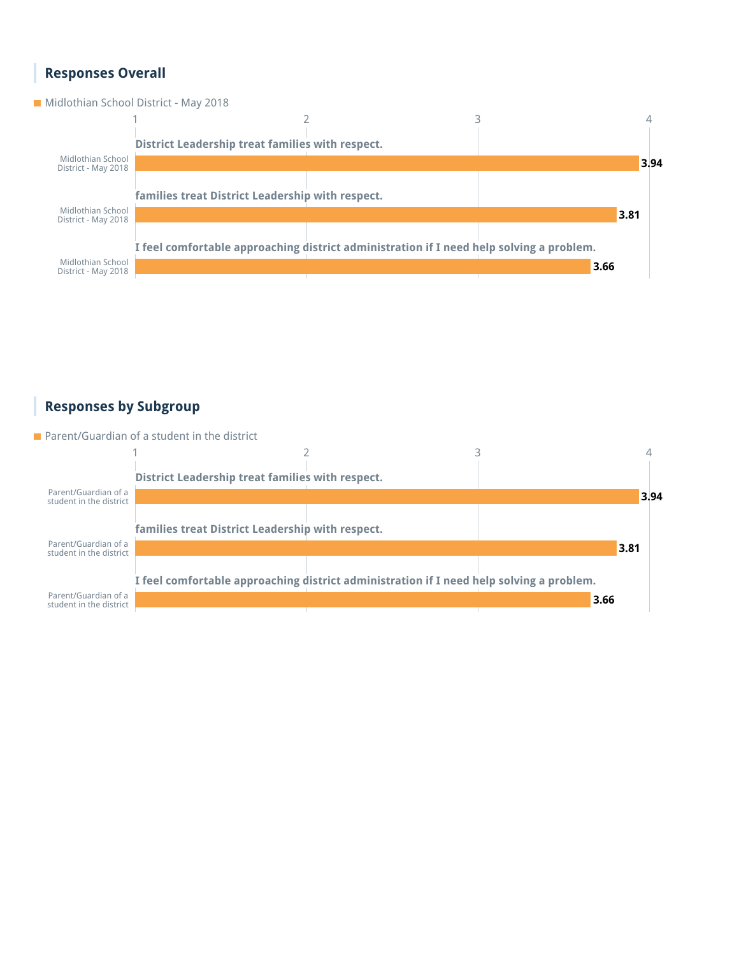#### **Responses Overall**

#### **Midlothian School District - May 2018**

![](_page_46_Figure_2.jpeg)

#### **Responses by Subgroup**

**Parent/Guardian of a student in the district** 

![](_page_46_Figure_5.jpeg)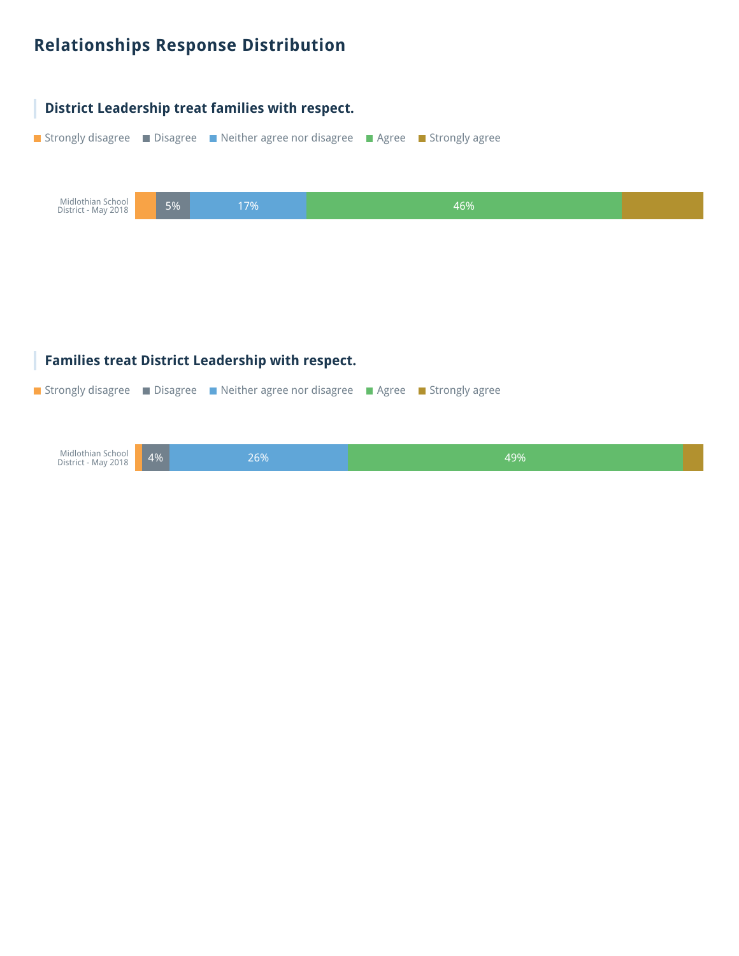## **Relationships Response Distribution**

![](_page_47_Figure_1.jpeg)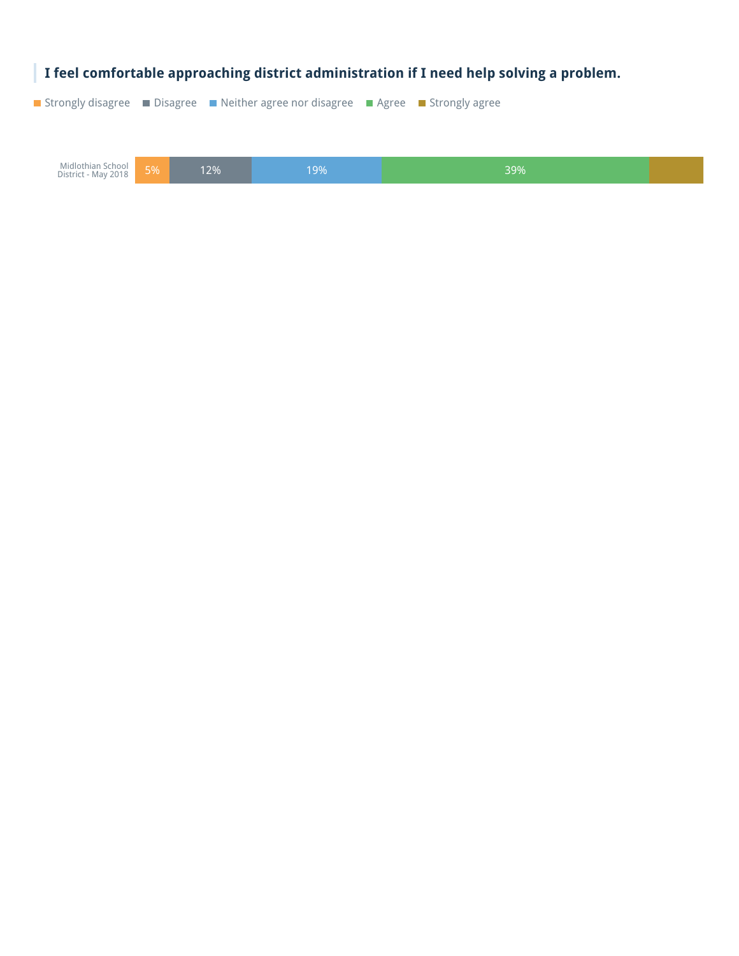![](_page_48_Picture_0.jpeg)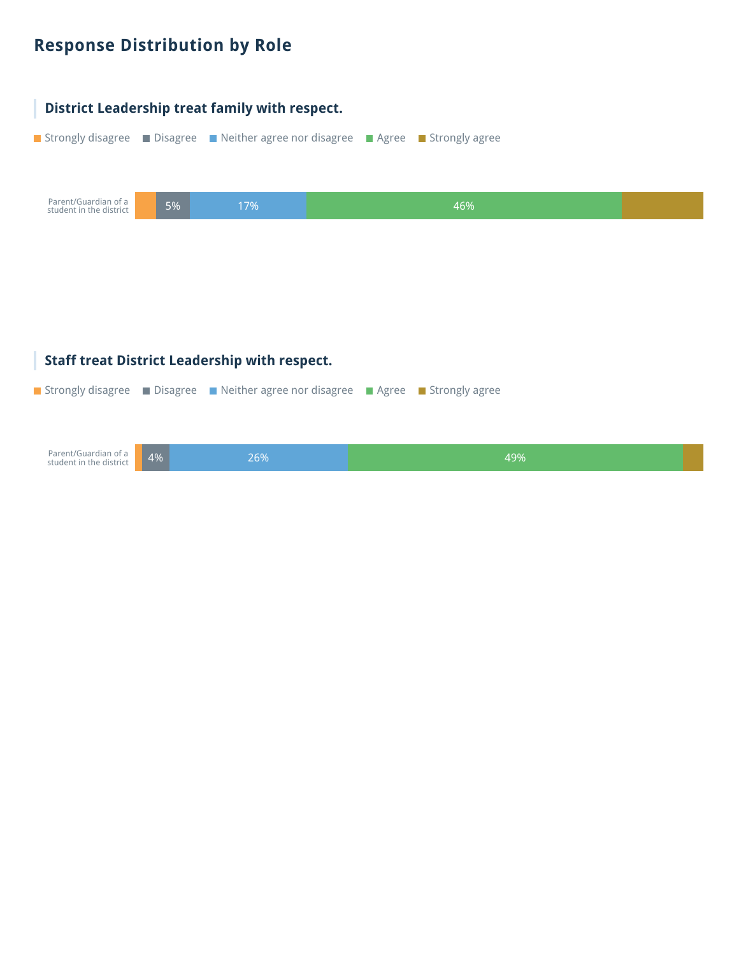## **Response Distribution by Role**

![](_page_49_Figure_1.jpeg)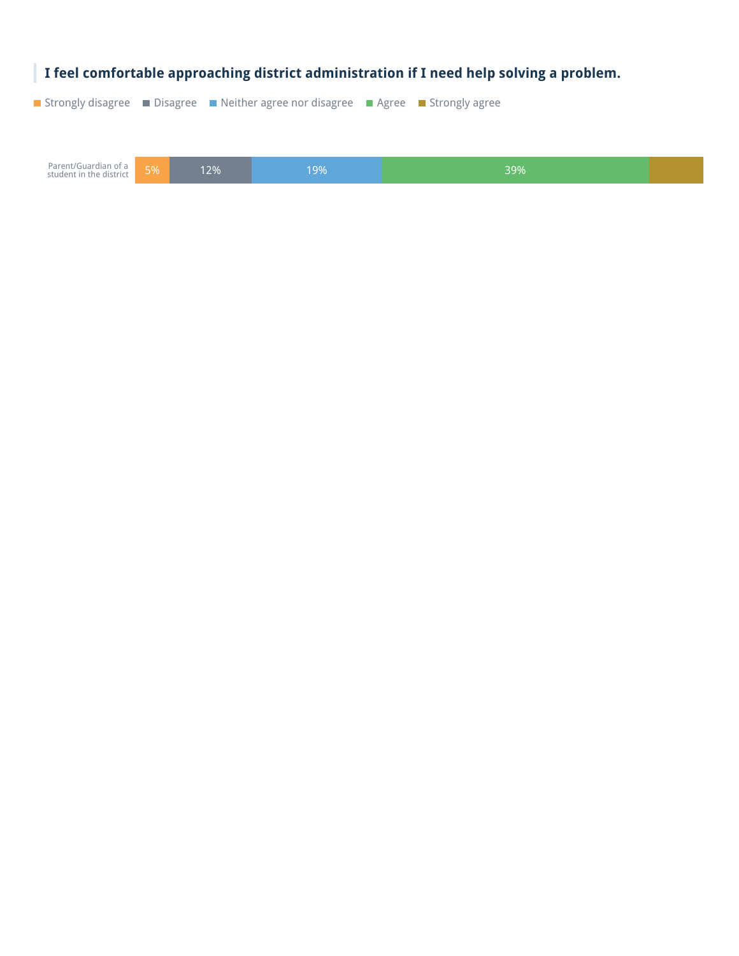![](_page_50_Picture_0.jpeg)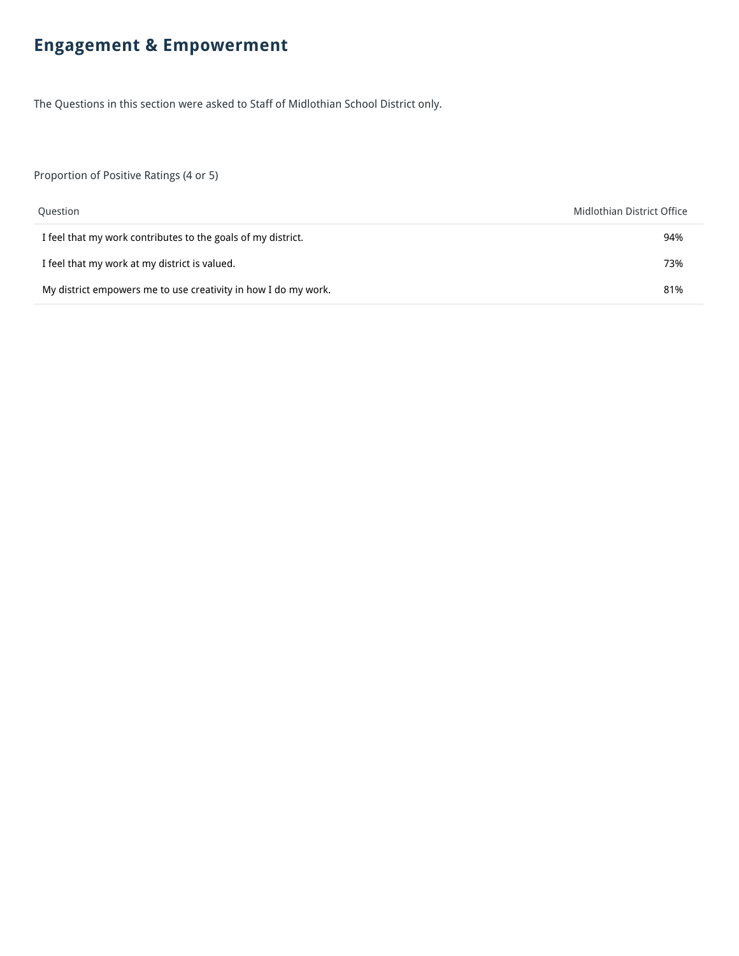## **Engagement & Empowerment**

The Questions in this section were asked to Staff of Midlothian School District only.

Proportion of Positive Ratings (4 or 5)

| Question                                                       | Midlothian District Office |
|----------------------------------------------------------------|----------------------------|
| I feel that my work contributes to the goals of my district.   | 94%                        |
| I feel that my work at my district is valued.                  | 73%                        |
| My district empowers me to use creativity in how I do my work. | 81%                        |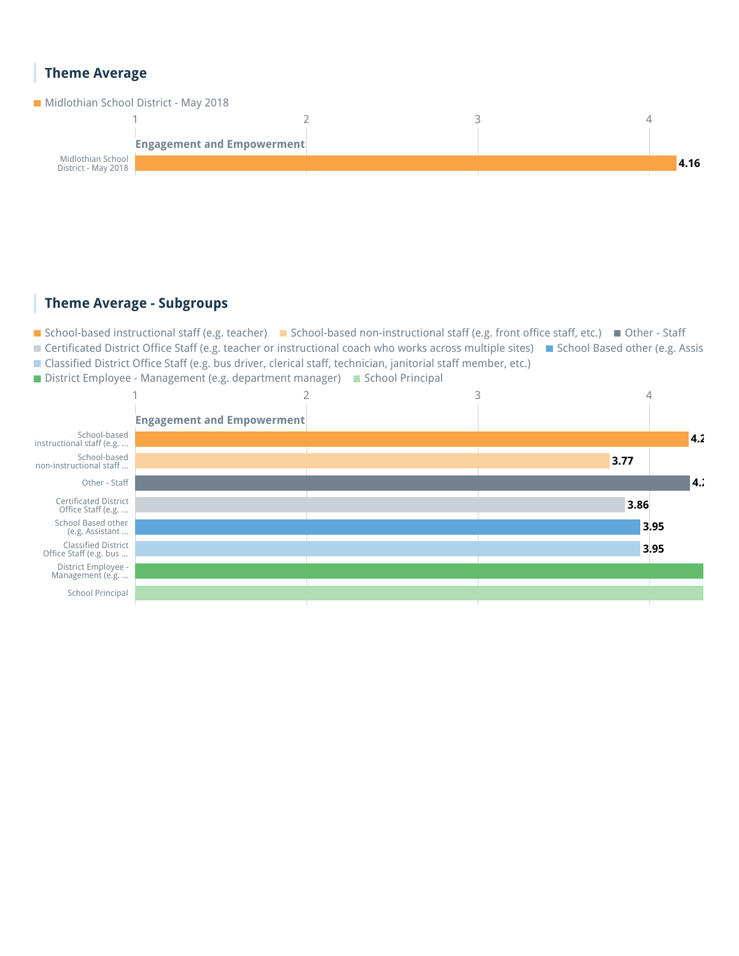#### **Theme Average**

![](_page_52_Figure_1.jpeg)

#### **Theme Average - Subgroups**

■ School-based instructional staff (e.g. teacher) ■ School-based non-instructional staff (e.g. front office staff, etc.) ■ Other - Staff ■ Certificated District Office Staff (e.g. teacher or instructional coach who works across multiple sites) ■ School Based other (e.g. Assis Classified District Office Staff (e.g. bus driver, clerical staff, technician, janitorial staff member, etc.)

■ District Employee - Management (e.g. department manager) ■ School Principal

![](_page_52_Figure_5.jpeg)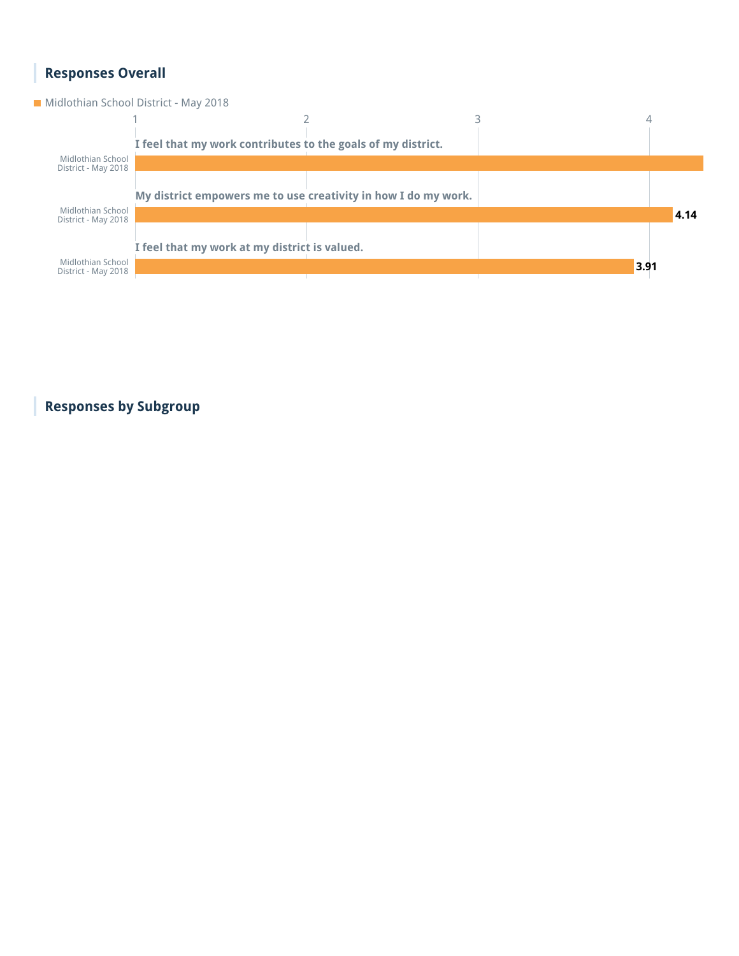#### **Responses Overall**

**Midlothian School District - May 2018** 

![](_page_53_Figure_2.jpeg)

**Responses by Subgroup**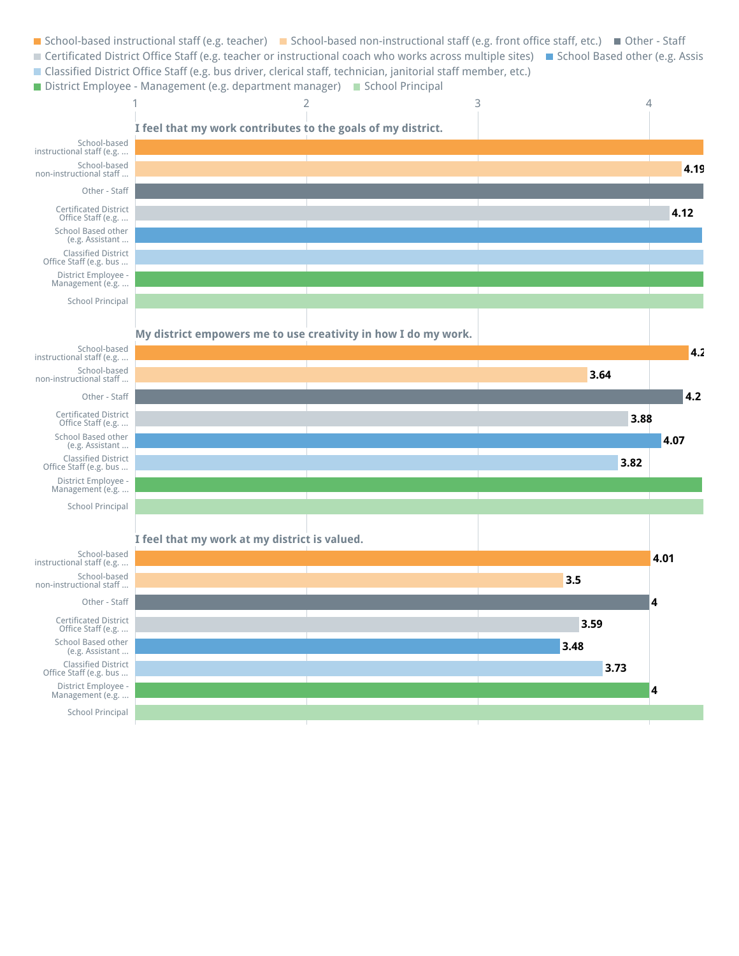- School-based instructional staff (e.g. teacher) School-based non-instructional staff (e.g. front office staff, etc.) Other Staff ■ Certificated District Office Staff (e.g. teacher or instructional coach who works across multiple sites) ■ School Based other (e.g. Assis
- Classified District Office Staff (e.g. bus driver, clerical staff, technician, janitorial staff member, etc.)
- District Employee Management (e.g. department manager) School Principal

![](_page_54_Figure_3.jpeg)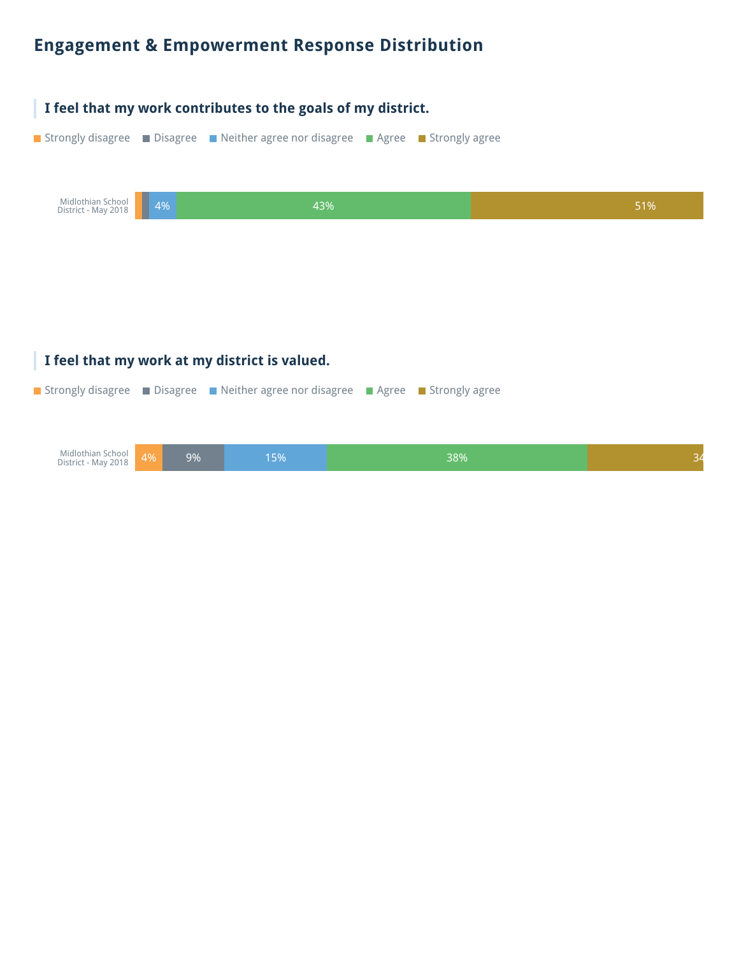### **Engagement & Empowerment Response Distribution**

![](_page_55_Figure_1.jpeg)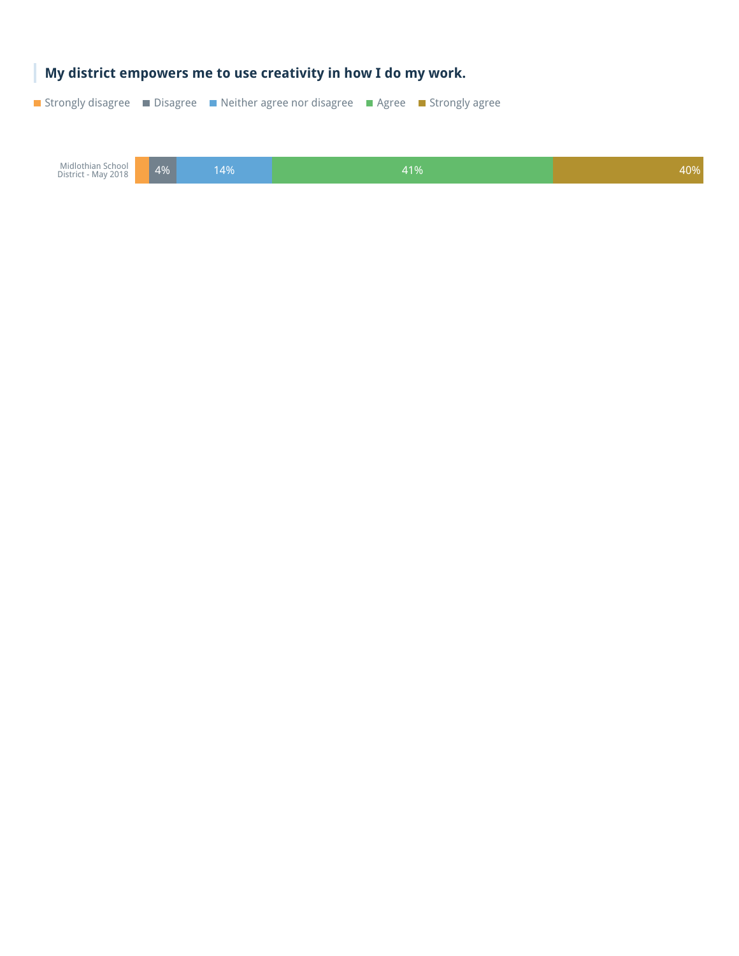![](_page_56_Picture_0.jpeg)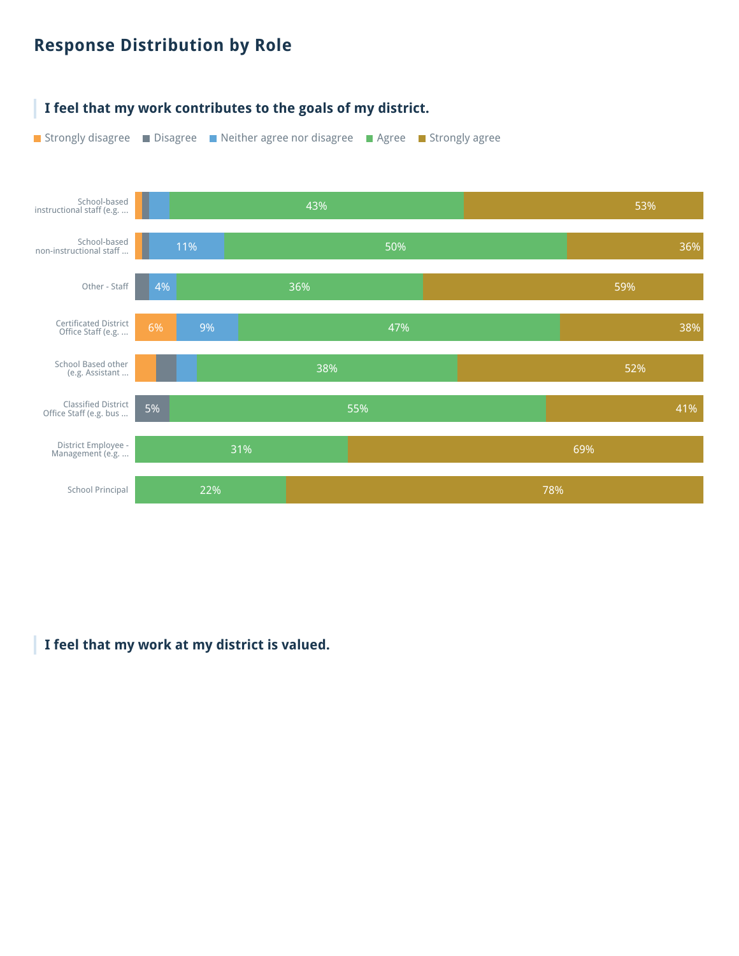## **Response Distribution by Role**

![](_page_57_Figure_1.jpeg)

#### **I feel that my work at my district is valued.**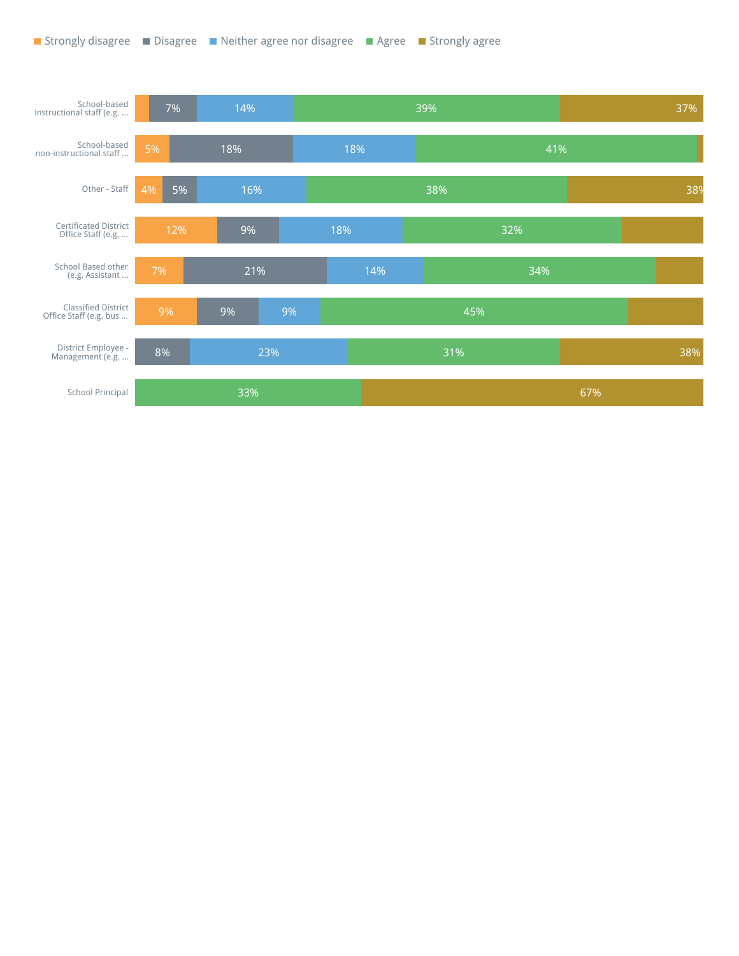![](_page_58_Figure_1.jpeg)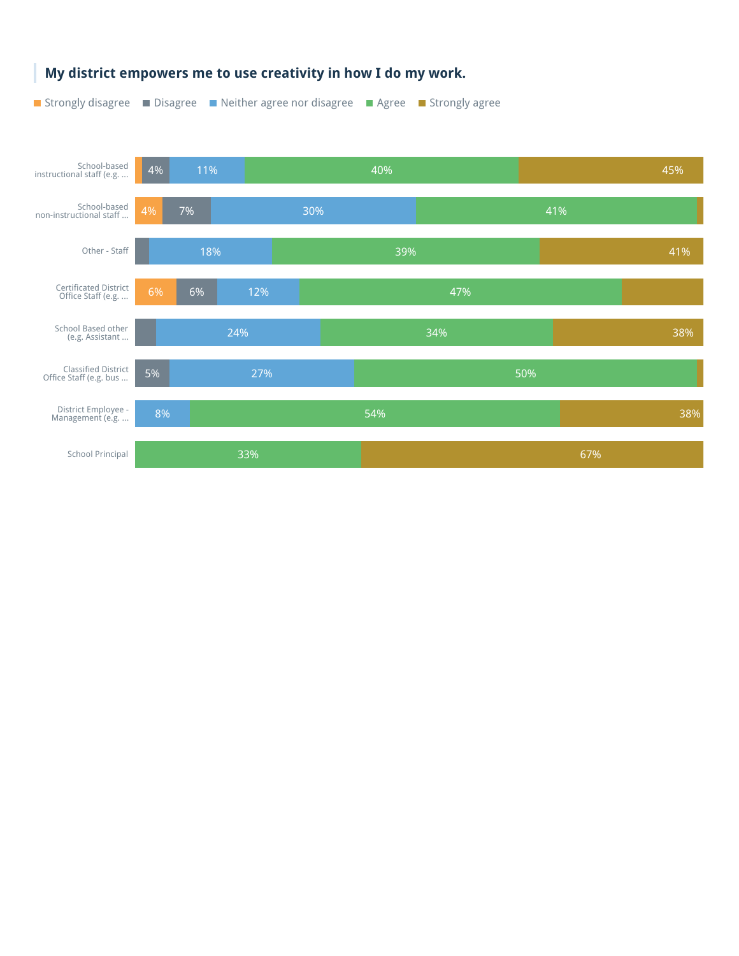![](_page_59_Figure_0.jpeg)

#### **My district empowers me to use creativity in how I do my work.**

■ Strongly disagree ■ Disagree ■ Neither agree nor disagree ■ Agree ■ Strongly agree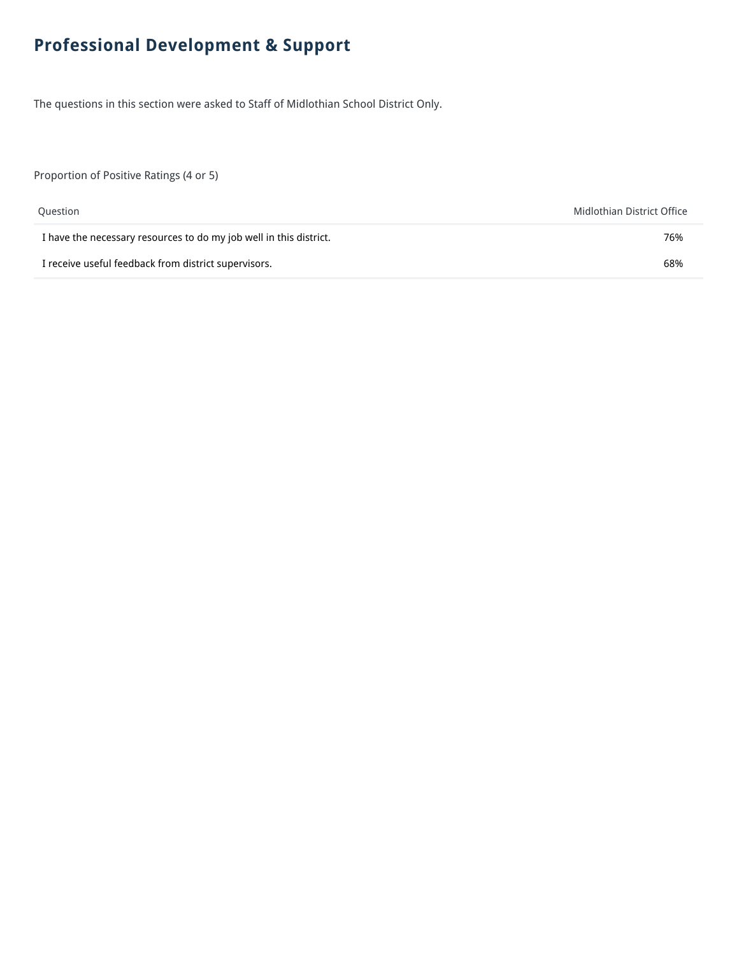## **Professional Development & Support**

The questions in this section were asked to Staff of Midlothian School District Only.

Proportion of Positive Ratings (4 or 5)

| Question                                                           | Midlothian District Office |
|--------------------------------------------------------------------|----------------------------|
| I have the necessary resources to do my job well in this district. | 76%                        |
| I receive useful feedback from district supervisors.               | 68%                        |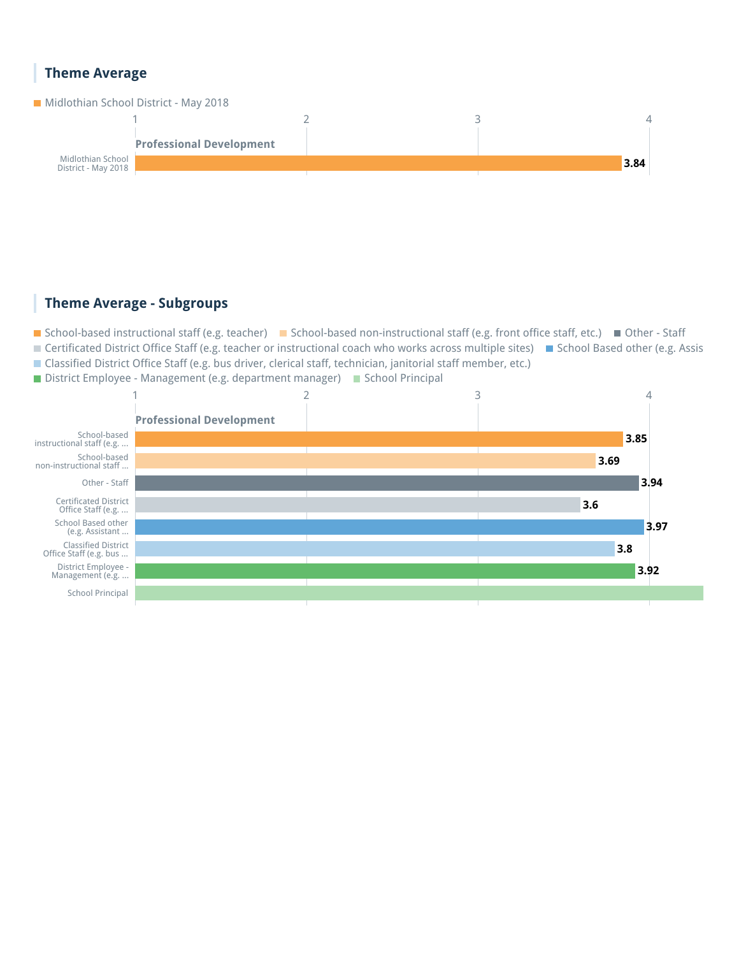#### **Theme Average**

**Midlothian School District - May 2018** 

![](_page_61_Figure_2.jpeg)

#### **Theme Average - Subgroups**

■ School-based instructional staff (e.g. teacher) ■ School-based non-instructional staff (e.g. front office staff, etc.) ■ Other - Staff ■ Certificated District Office Staff (e.g. teacher or instructional coach who works across multiple sites) ■ School Based other (e.g. Assis Classified District Office Staff (e.g. bus driver, clerical staff, technician, janitorial staff member, etc.)

■ District Employee - Management (e.g. department manager) ■ School Principal

![](_page_61_Figure_6.jpeg)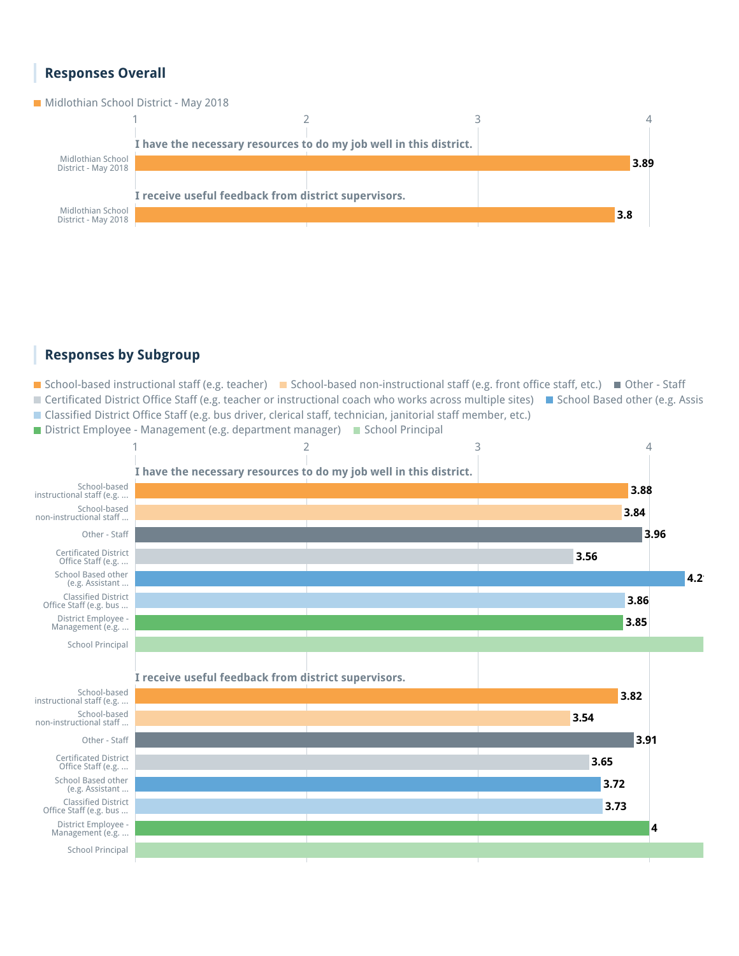#### **Responses Overall**

**Midlothian School District - May 2018** 

![](_page_62_Figure_2.jpeg)

#### **Responses by Subgroup**

■ School-based instructional staff (e.g. teacher) ■ School-based non-instructional staff (e.g. front office staff, etc.) ■ Other - Staff ■ Certificated District Office Staff (e.g. teacher or instructional coach who works across multiple sites) ■ School Based other (e.g. Assis Classified District Office Staff (e.g. bus driver, clerical staff, technician, janitorial staff member, etc.)

 $\blacksquare$  District Employee - Management (e.g. department manager)  $\blacksquare$  School Principal

![](_page_62_Figure_6.jpeg)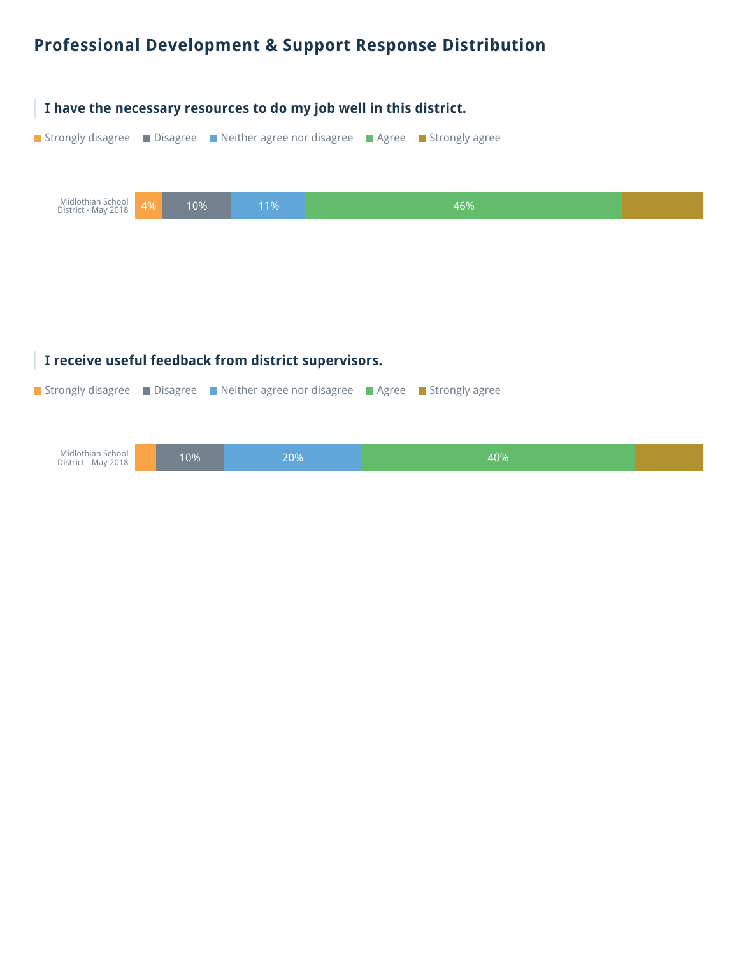## **Professional Development & Support Response Distribution**

![](_page_64_Picture_1.jpeg)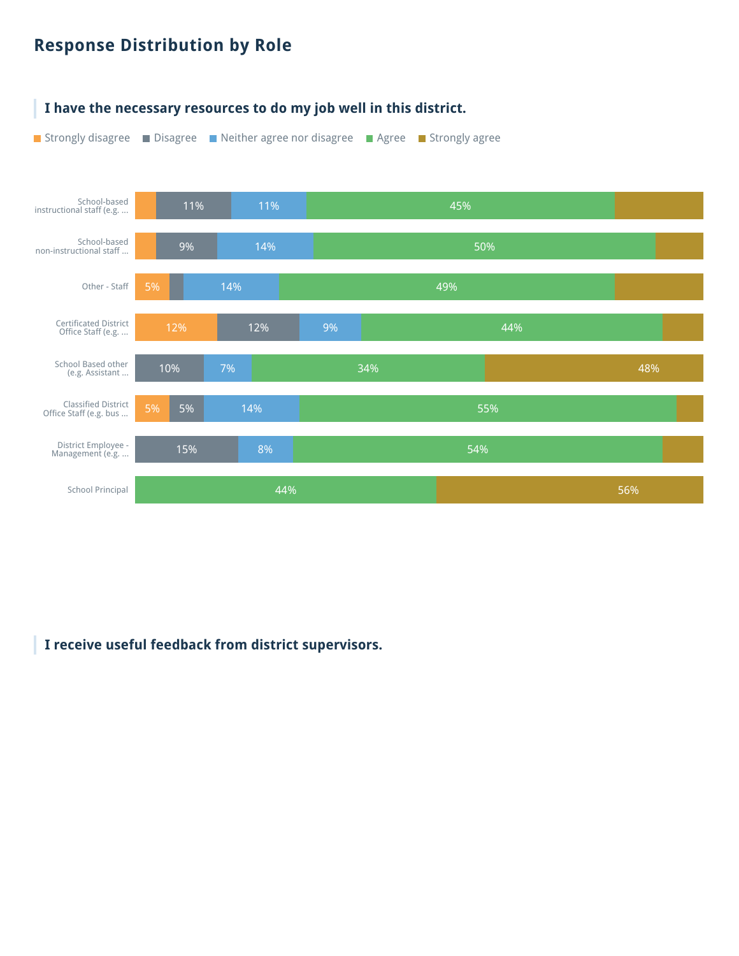## **Response Distribution by Role**

![](_page_65_Figure_1.jpeg)

#### **I have the necessary resources to do my job well in this district.**

**I receive useful feedback from district supervisors.**